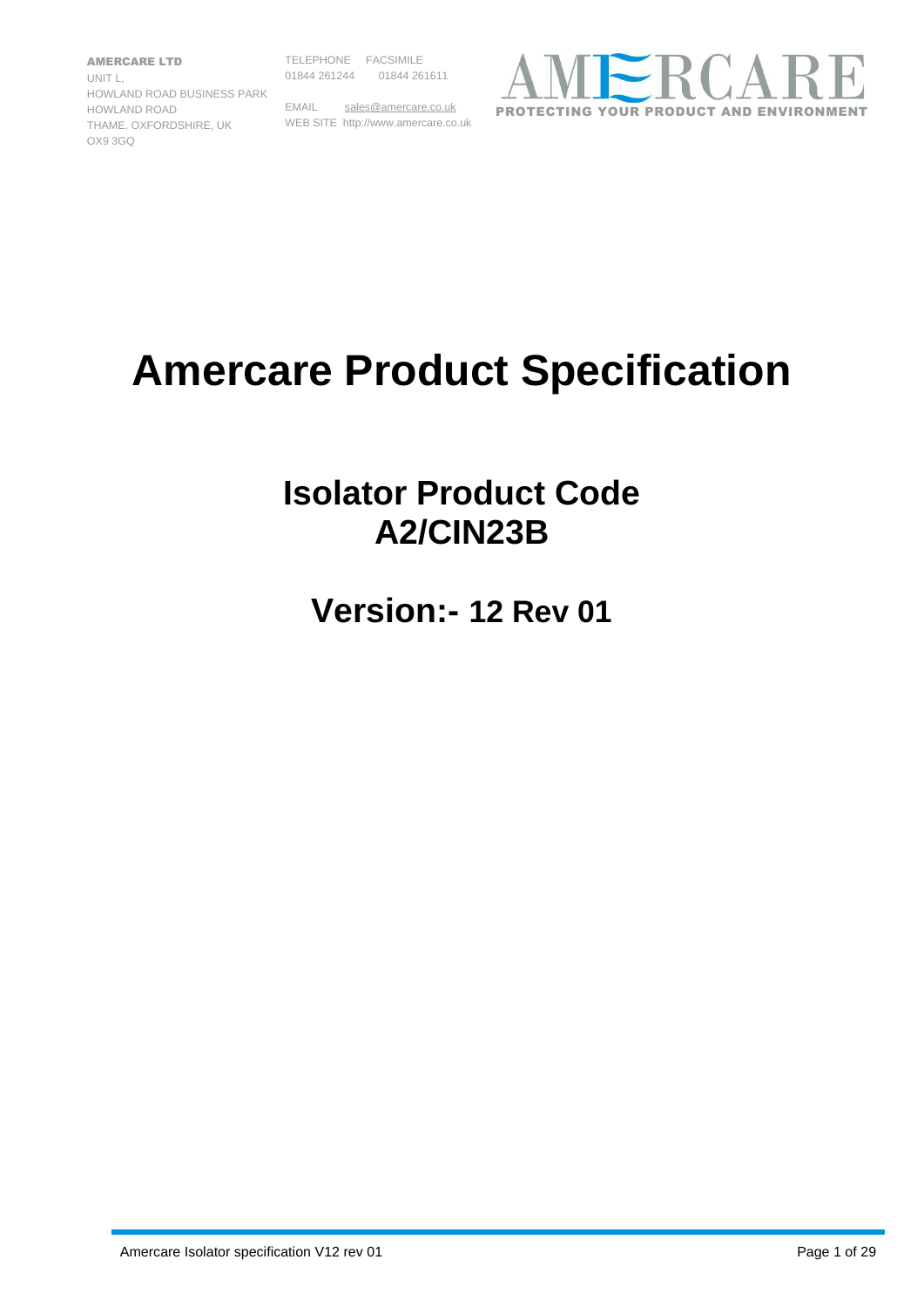AMERCARE LTD UNIT L, HOWLAND ROAD BUSINESS PARK HOWLAND ROAD THAME, OXFORDSHIRE, UK WEB SITE http://www.amercare.co.uk OX9 3GQ

TELEPHONE FACSIMILE 01844 261244 01844 261611

EMAIL [sales@amercare.co.uk](mailto:sales@amercare.co.uk)



## **Amercare Product Specification**

### **Isolator Product Code A2/CIN23B**

**Version:- 12 Rev 01**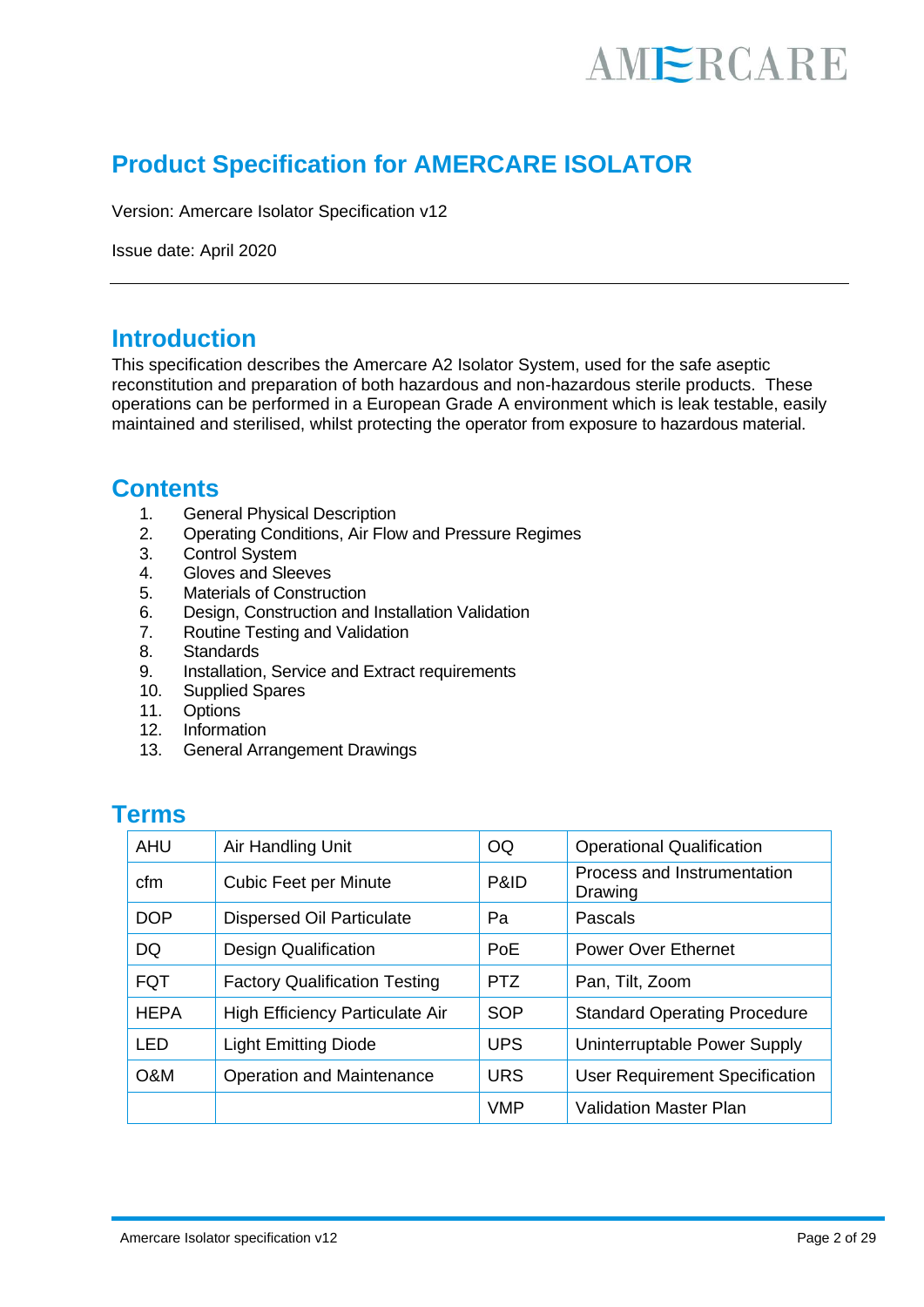### **Product Specification for AMERCARE ISOLATOR**

Version: Amercare Isolator Specification v12

Issue date: April 2020

### **Introduction**

This specification describes the Amercare A2 Isolator System, used for the safe aseptic reconstitution and preparation of both hazardous and non-hazardous sterile products. These operations can be performed in a European Grade A environment which is leak testable, easily maintained and sterilised, whilst protecting the operator from exposure to hazardous material.

### **Contents**

- 1. General Physical Description
- 2. Operating Conditions, Air Flow and Pressure Regimes
- 3. Control System
- 4. Gloves and Sleeves
- 5. Materials of Construction
- 6. Design, Construction and Installation Validation
- 7. Routine Testing and Validation
- 8. Standards
- 9. Installation, Service and Extract requirements
- 10. Supplied Spares
- 11. Options
- 12. Information
- 13. General Arrangement Drawings

#### **Terms**

| <b>AHU</b>  | Air Handling Unit                    | OQ         | <b>Operational Qualification</b>       |
|-------------|--------------------------------------|------------|----------------------------------------|
| cfm         | <b>Cubic Feet per Minute</b>         | P&ID       | Process and Instrumentation<br>Drawing |
| <b>DOP</b>  | <b>Dispersed Oil Particulate</b>     | Pa         | Pascals                                |
| DQ          | Design Qualification                 | PoE        | <b>Power Over Ethernet</b>             |
| <b>FQT</b>  | <b>Factory Qualification Testing</b> | <b>PTZ</b> | Pan, Tilt, Zoom                        |
| <b>HEPA</b> | High Efficiency Particulate Air      | SOP        | <b>Standard Operating Procedure</b>    |
| LED         | <b>Light Emitting Diode</b>          | <b>UPS</b> | Uninterruptable Power Supply           |
| O&M         | <b>Operation and Maintenance</b>     | <b>URS</b> | <b>User Requirement Specification</b>  |
|             |                                      | <b>VMP</b> | <b>Validation Master Plan</b>          |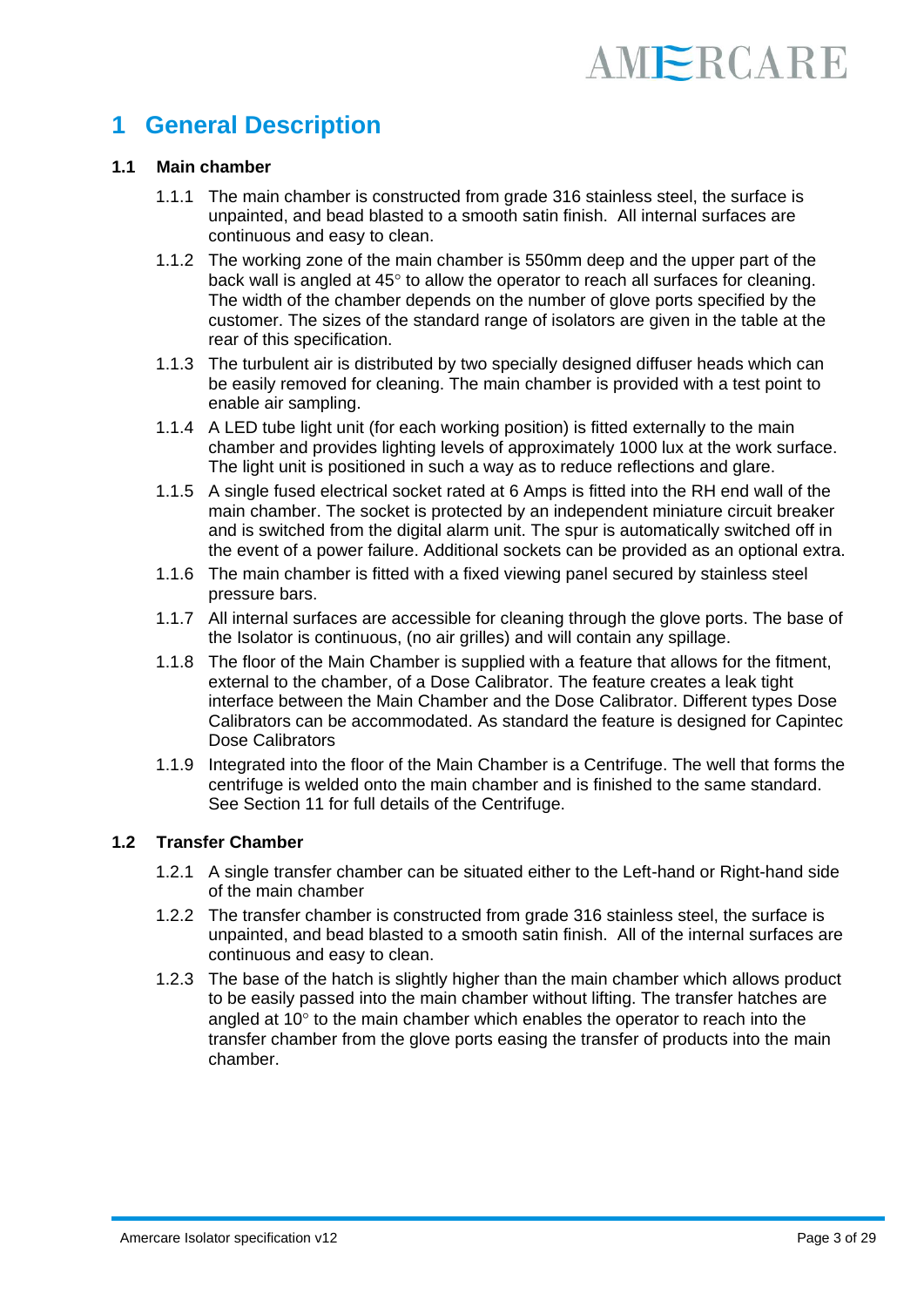### **1 General Description**

#### **1.1 Main chamber**

- 1.1.1 The main chamber is constructed from grade 316 stainless steel, the surface is unpainted, and bead blasted to a smooth satin finish. All internal surfaces are continuous and easy to clean.
- 1.1.2 The working zone of the main chamber is 550mm deep and the upper part of the back wall is angled at  $45^\circ$  to allow the operator to reach all surfaces for cleaning. The width of the chamber depends on the number of glove ports specified by the customer. The sizes of the standard range of isolators are given in the table at the rear of this specification.
- 1.1.3 The turbulent air is distributed by two specially designed diffuser heads which can be easily removed for cleaning. The main chamber is provided with a test point to enable air sampling.
- 1.1.4 A LED tube light unit (for each working position) is fitted externally to the main chamber and provides lighting levels of approximately 1000 lux at the work surface. The light unit is positioned in such a way as to reduce reflections and glare.
- 1.1.5 A single fused electrical socket rated at 6 Amps is fitted into the RH end wall of the main chamber. The socket is protected by an independent miniature circuit breaker and is switched from the digital alarm unit. The spur is automatically switched off in the event of a power failure. Additional sockets can be provided as an optional extra.
- 1.1.6 The main chamber is fitted with a fixed viewing panel secured by stainless steel pressure bars.
- 1.1.7 All internal surfaces are accessible for cleaning through the glove ports. The base of the Isolator is continuous, (no air grilles) and will contain any spillage.
- 1.1.8 The floor of the Main Chamber is supplied with a feature that allows for the fitment, external to the chamber, of a Dose Calibrator. The feature creates a leak tight interface between the Main Chamber and the Dose Calibrator. Different types Dose Calibrators can be accommodated. As standard the feature is designed for Capintec Dose Calibrators
- 1.1.9 Integrated into the floor of the Main Chamber is a Centrifuge. The well that forms the centrifuge is welded onto the main chamber and is finished to the same standard. See Section 11 for full details of the Centrifuge.

#### **1.2 Transfer Chamber**

- 1.2.1 A single transfer chamber can be situated either to the Left-hand or Right-hand side of the main chamber
- 1.2.2 The transfer chamber is constructed from grade 316 stainless steel, the surface is unpainted, and bead blasted to a smooth satin finish. All of the internal surfaces are continuous and easy to clean.
- 1.2.3 The base of the hatch is slightly higher than the main chamber which allows product to be easily passed into the main chamber without lifting. The transfer hatches are angled at  $10<sup>°</sup>$  to the main chamber which enables the operator to reach into the transfer chamber from the glove ports easing the transfer of products into the main chamber.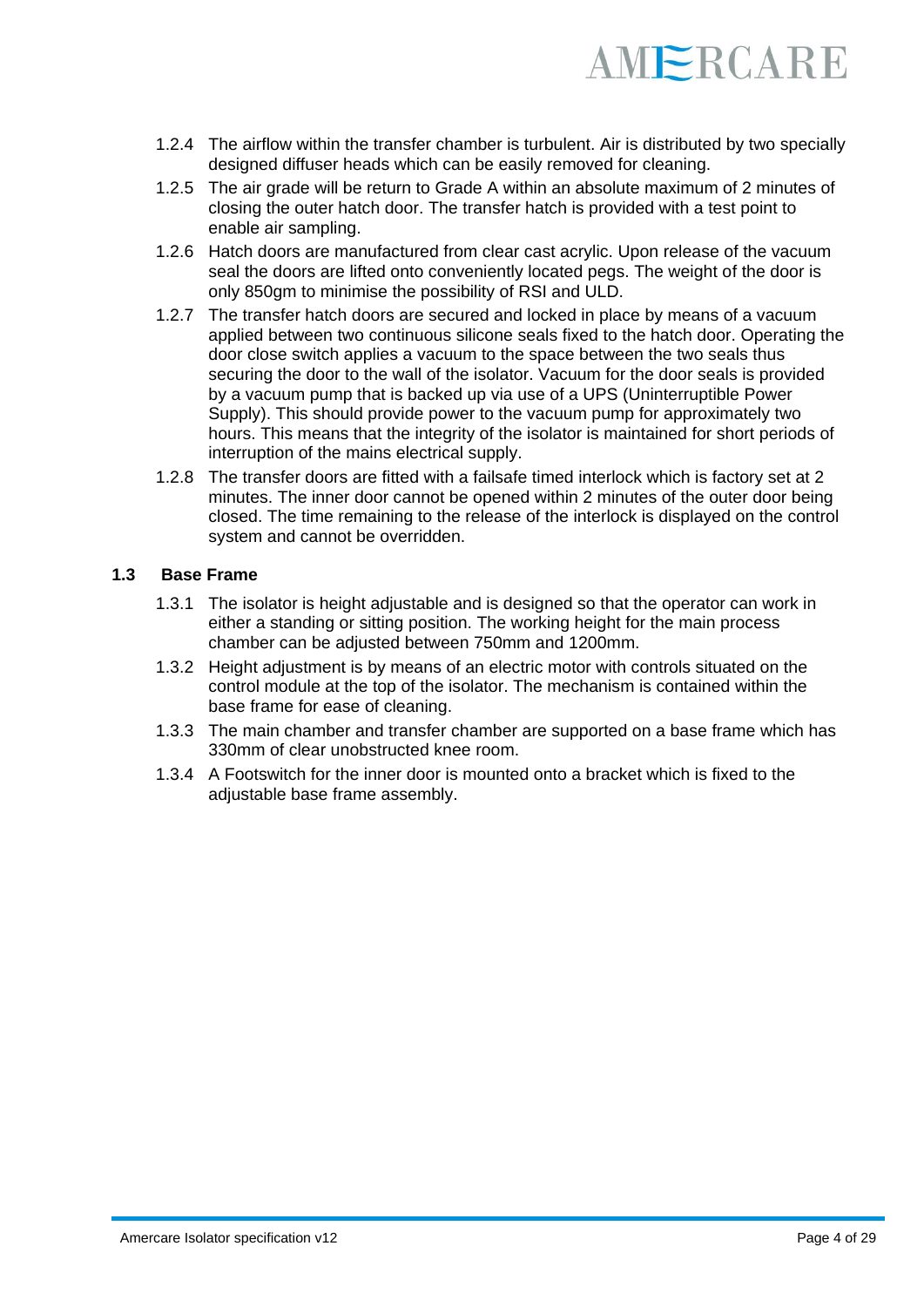

- 1.2.4 The airflow within the transfer chamber is turbulent. Air is distributed by two specially designed diffuser heads which can be easily removed for cleaning.
- 1.2.5 The air grade will be return to Grade A within an absolute maximum of 2 minutes of closing the outer hatch door. The transfer hatch is provided with a test point to enable air sampling.
- 1.2.6 Hatch doors are manufactured from clear cast acrylic. Upon release of the vacuum seal the doors are lifted onto conveniently located pegs. The weight of the door is only 850gm to minimise the possibility of RSI and ULD.
- 1.2.7 The transfer hatch doors are secured and locked in place by means of a vacuum applied between two continuous silicone seals fixed to the hatch door. Operating the door close switch applies a vacuum to the space between the two seals thus securing the door to the wall of the isolator. Vacuum for the door seals is provided by a vacuum pump that is backed up via use of a UPS (Uninterruptible Power Supply). This should provide power to the vacuum pump for approximately two hours. This means that the integrity of the isolator is maintained for short periods of interruption of the mains electrical supply.
- 1.2.8 The transfer doors are fitted with a failsafe timed interlock which is factory set at 2 minutes. The inner door cannot be opened within 2 minutes of the outer door being closed. The time remaining to the release of the interlock is displayed on the control system and cannot be overridden.

#### **1.3 Base Frame**

- 1.3.1 The isolator is height adjustable and is designed so that the operator can work in either a standing or sitting position. The working height for the main process chamber can be adjusted between 750mm and 1200mm.
- 1.3.2 Height adjustment is by means of an electric motor with controls situated on the control module at the top of the isolator. The mechanism is contained within the base frame for ease of cleaning.
- 1.3.3 The main chamber and transfer chamber are supported on a base frame which has 330mm of clear unobstructed knee room.
- 1.3.4 A Footswitch for the inner door is mounted onto a bracket which is fixed to the adjustable base frame assembly.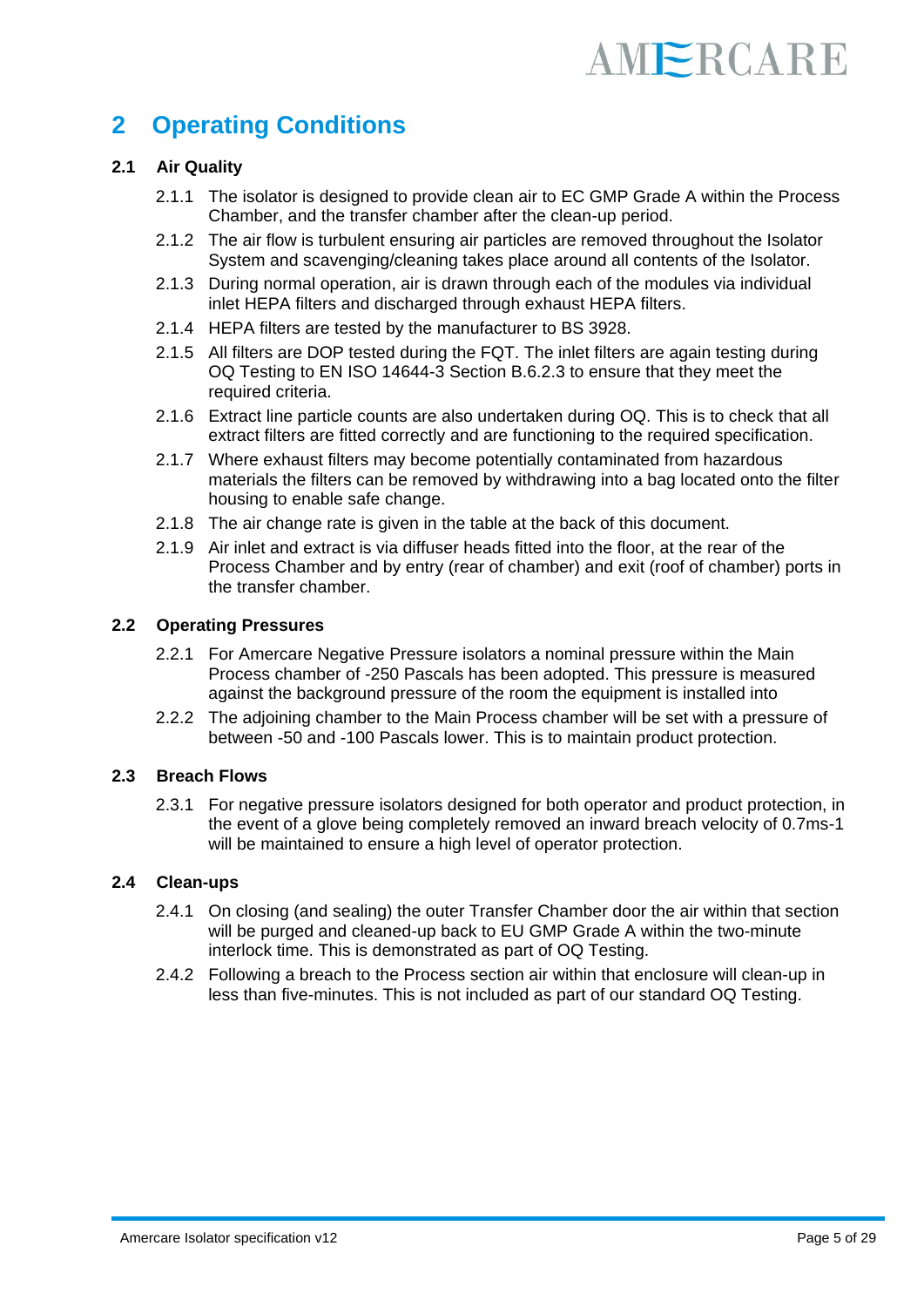### **2 Operating Conditions**

#### **2.1 Air Quality**

- 2.1.1 The isolator is designed to provide clean air to EC GMP Grade A within the Process Chamber, and the transfer chamber after the clean-up period.
- 2.1.2 The air flow is turbulent ensuring air particles are removed throughout the Isolator System and scavenging/cleaning takes place around all contents of the Isolator.
- 2.1.3 During normal operation, air is drawn through each of the modules via individual inlet HEPA filters and discharged through exhaust HEPA filters.
- 2.1.4 HEPA filters are tested by the manufacturer to BS 3928.
- 2.1.5 All filters are DOP tested during the FQT. The inlet filters are again testing during OQ Testing to EN ISO 14644-3 Section B.6.2.3 to ensure that they meet the required criteria.
- 2.1.6 Extract line particle counts are also undertaken during OQ. This is to check that all extract filters are fitted correctly and are functioning to the required specification.
- 2.1.7 Where exhaust filters may become potentially contaminated from hazardous materials the filters can be removed by withdrawing into a bag located onto the filter housing to enable safe change.
- 2.1.8 The air change rate is given in the table at the back of this document.
- 2.1.9 Air inlet and extract is via diffuser heads fitted into the floor, at the rear of the Process Chamber and by entry (rear of chamber) and exit (roof of chamber) ports in the transfer chamber.

#### **2.2 Operating Pressures**

- 2.2.1 For Amercare Negative Pressure isolators a nominal pressure within the Main Process chamber of -250 Pascals has been adopted. This pressure is measured against the background pressure of the room the equipment is installed into
- 2.2.2 The adjoining chamber to the Main Process chamber will be set with a pressure of between -50 and -100 Pascals lower. This is to maintain product protection.

#### **2.3 Breach Flows**

2.3.1 For negative pressure isolators designed for both operator and product protection, in the event of a glove being completely removed an inward breach velocity of 0.7ms-1 will be maintained to ensure a high level of operator protection.

#### **2.4 Clean-ups**

- 2.4.1 On closing (and sealing) the outer Transfer Chamber door the air within that section will be purged and cleaned-up back to EU GMP Grade A within the two-minute interlock time. This is demonstrated as part of OQ Testing.
- 2.4.2 Following a breach to the Process section air within that enclosure will clean-up in less than five-minutes. This is not included as part of our standard OQ Testing.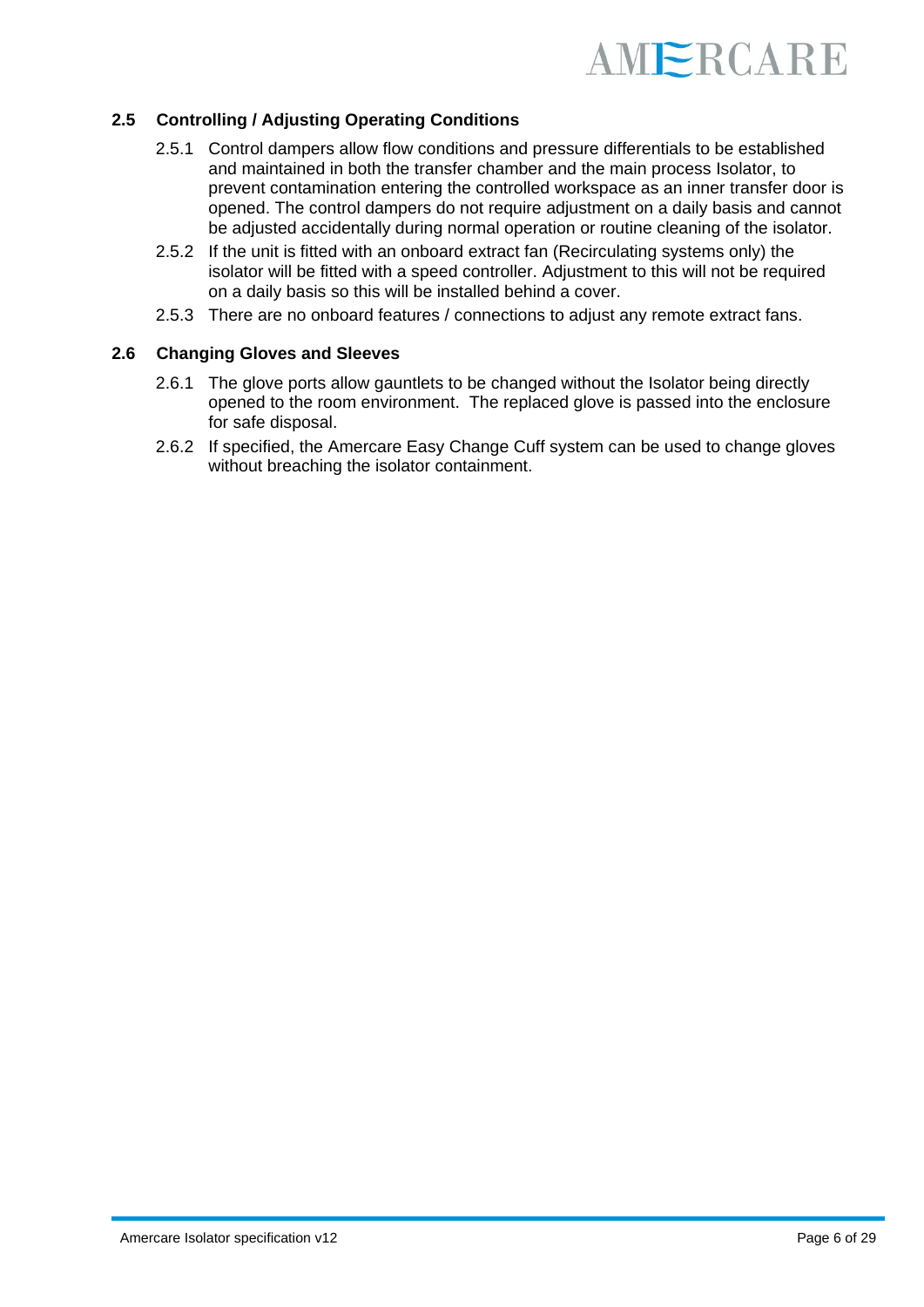

#### **2.5 Controlling / Adjusting Operating Conditions**

- 2.5.1 Control dampers allow flow conditions and pressure differentials to be established and maintained in both the transfer chamber and the main process Isolator, to prevent contamination entering the controlled workspace as an inner transfer door is opened. The control dampers do not require adjustment on a daily basis and cannot be adjusted accidentally during normal operation or routine cleaning of the isolator.
- 2.5.2 If the unit is fitted with an onboard extract fan (Recirculating systems only) the isolator will be fitted with a speed controller. Adjustment to this will not be required on a daily basis so this will be installed behind a cover.
- 2.5.3 There are no onboard features / connections to adjust any remote extract fans.

#### **2.6 Changing Gloves and Sleeves**

- 2.6.1 The glove ports allow gauntlets to be changed without the Isolator being directly opened to the room environment. The replaced glove is passed into the enclosure for safe disposal.
- 2.6.2 If specified, the Amercare Easy Change Cuff system can be used to change gloves without breaching the isolator containment.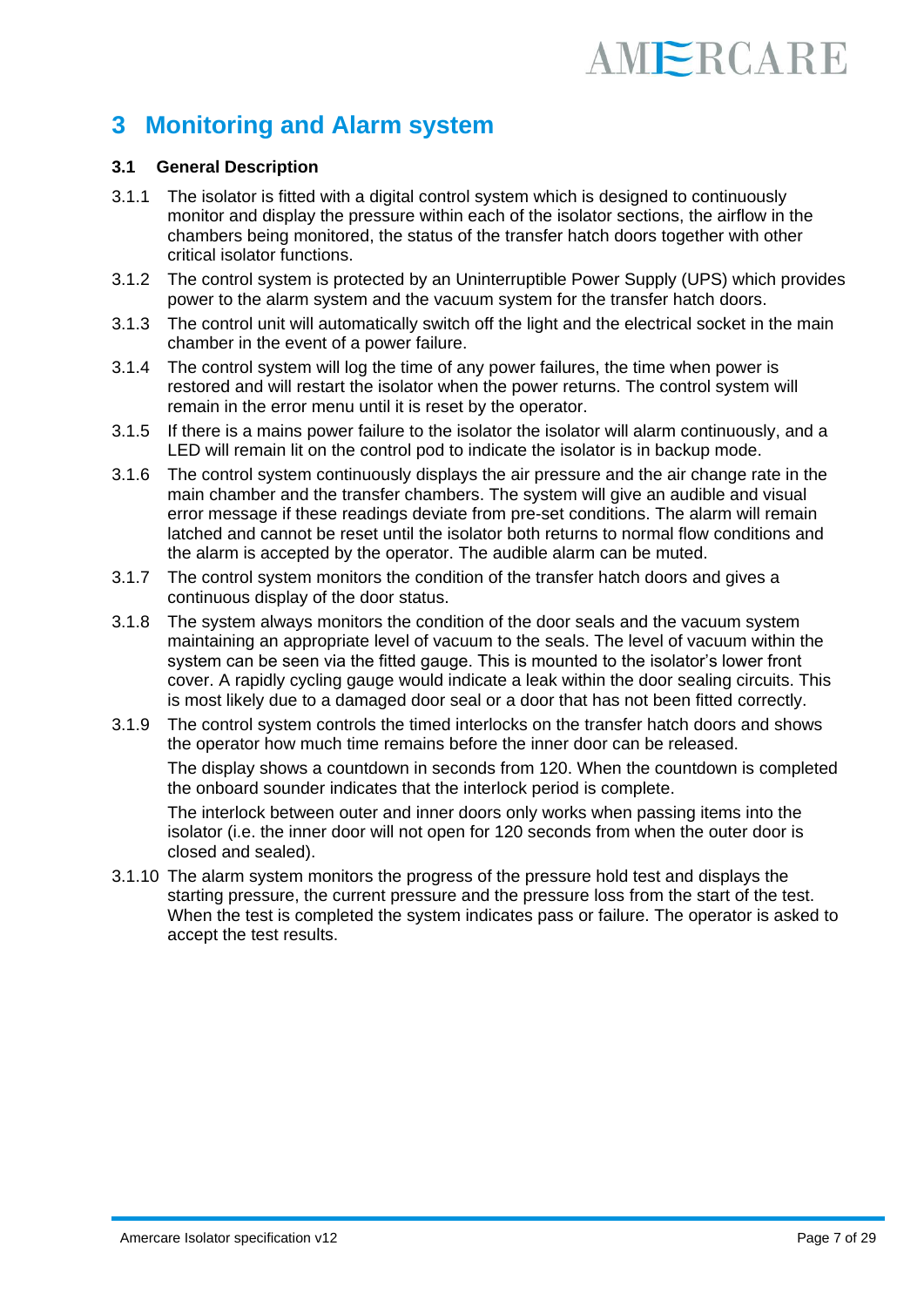### **3 Monitoring and Alarm system**

#### **3.1 General Description**

- 3.1.1 The isolator is fitted with a digital control system which is designed to continuously monitor and display the pressure within each of the isolator sections, the airflow in the chambers being monitored, the status of the transfer hatch doors together with other critical isolator functions.
- 3.1.2 The control system is protected by an Uninterruptible Power Supply (UPS) which provides power to the alarm system and the vacuum system for the transfer hatch doors.
- 3.1.3 The control unit will automatically switch off the light and the electrical socket in the main chamber in the event of a power failure.
- 3.1.4 The control system will log the time of any power failures, the time when power is restored and will restart the isolator when the power returns. The control system will remain in the error menu until it is reset by the operator.
- 3.1.5 If there is a mains power failure to the isolator the isolator will alarm continuously, and a LED will remain lit on the control pod to indicate the isolator is in backup mode.
- 3.1.6 The control system continuously displays the air pressure and the air change rate in the main chamber and the transfer chambers. The system will give an audible and visual error message if these readings deviate from pre-set conditions. The alarm will remain latched and cannot be reset until the isolator both returns to normal flow conditions and the alarm is accepted by the operator. The audible alarm can be muted.
- 3.1.7 The control system monitors the condition of the transfer hatch doors and gives a continuous display of the door status.
- 3.1.8 The system always monitors the condition of the door seals and the vacuum system maintaining an appropriate level of vacuum to the seals. The level of vacuum within the system can be seen via the fitted gauge. This is mounted to the isolator's lower front cover. A rapidly cycling gauge would indicate a leak within the door sealing circuits. This is most likely due to a damaged door seal or a door that has not been fitted correctly.
- 3.1.9 The control system controls the timed interlocks on the transfer hatch doors and shows the operator how much time remains before the inner door can be released.

The display shows a countdown in seconds from 120. When the countdown is completed the onboard sounder indicates that the interlock period is complete.

The interlock between outer and inner doors only works when passing items into the isolator (i.e. the inner door will not open for 120 seconds from when the outer door is closed and sealed).

3.1.10 The alarm system monitors the progress of the pressure hold test and displays the starting pressure, the current pressure and the pressure loss from the start of the test. When the test is completed the system indicates pass or failure. The operator is asked to accept the test results.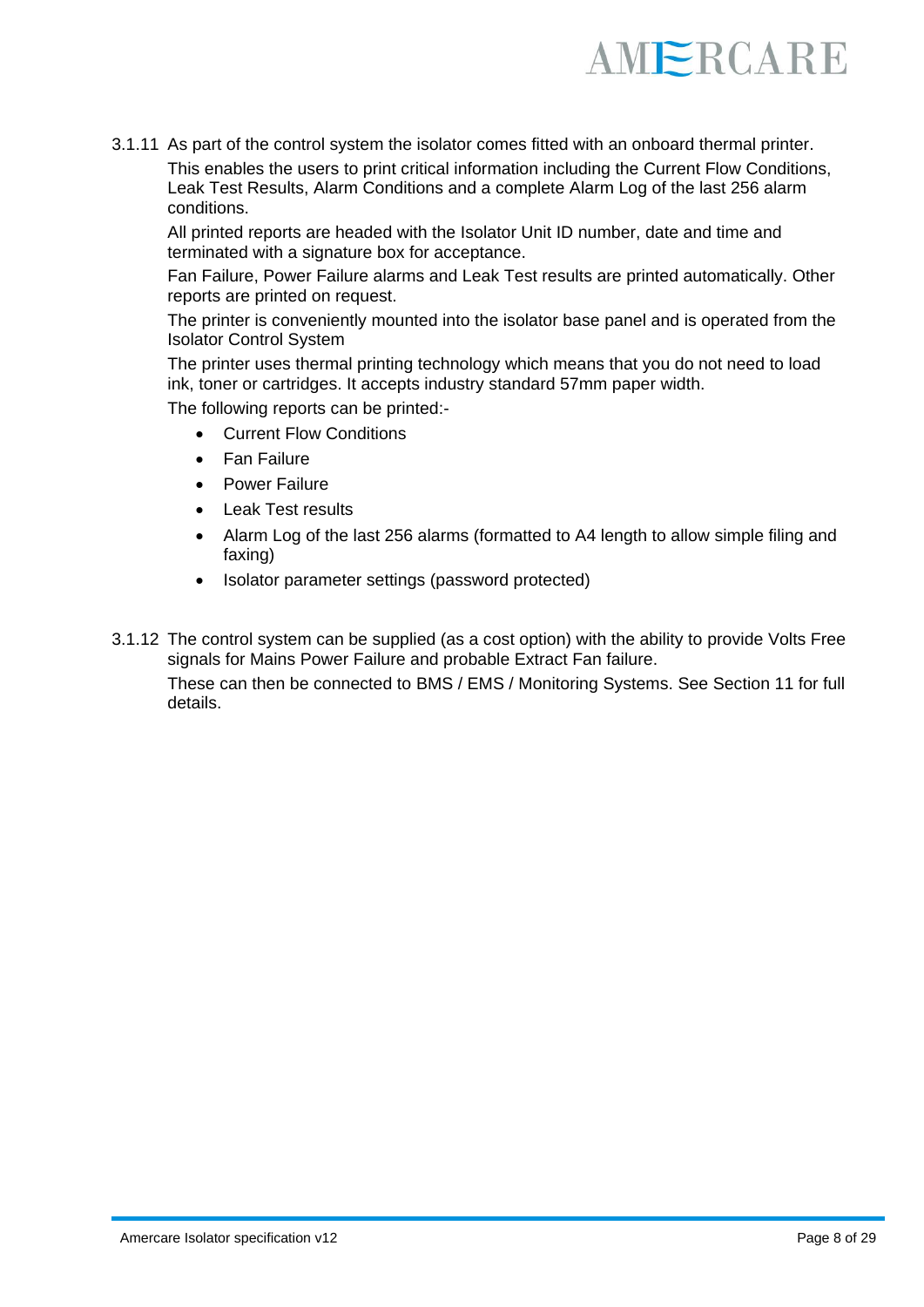

3.1.11 As part of the control system the isolator comes fitted with an onboard thermal printer. This enables the users to print critical information including the Current Flow Conditions, Leak Test Results, Alarm Conditions and a complete Alarm Log of the last 256 alarm conditions.

All printed reports are headed with the Isolator Unit ID number, date and time and terminated with a signature box for acceptance.

Fan Failure, Power Failure alarms and Leak Test results are printed automatically. Other reports are printed on request.

The printer is conveniently mounted into the isolator base panel and is operated from the Isolator Control System

The printer uses thermal printing technology which means that you do not need to load ink, toner or cartridges. It accepts industry standard 57mm paper width.

The following reports can be printed:-

- **Current Flow Conditions**
- Fan Failure
- Power Failure
- Leak Test results
- Alarm Log of the last 256 alarms (formatted to A4 length to allow simple filing and faxing)
- Isolator parameter settings (password protected)
- 3.1.12 The control system can be supplied (as a cost option) with the ability to provide Volts Free signals for Mains Power Failure and probable Extract Fan failure. These can then be connected to BMS / EMS / Monitoring Systems. See Section 11 for full details.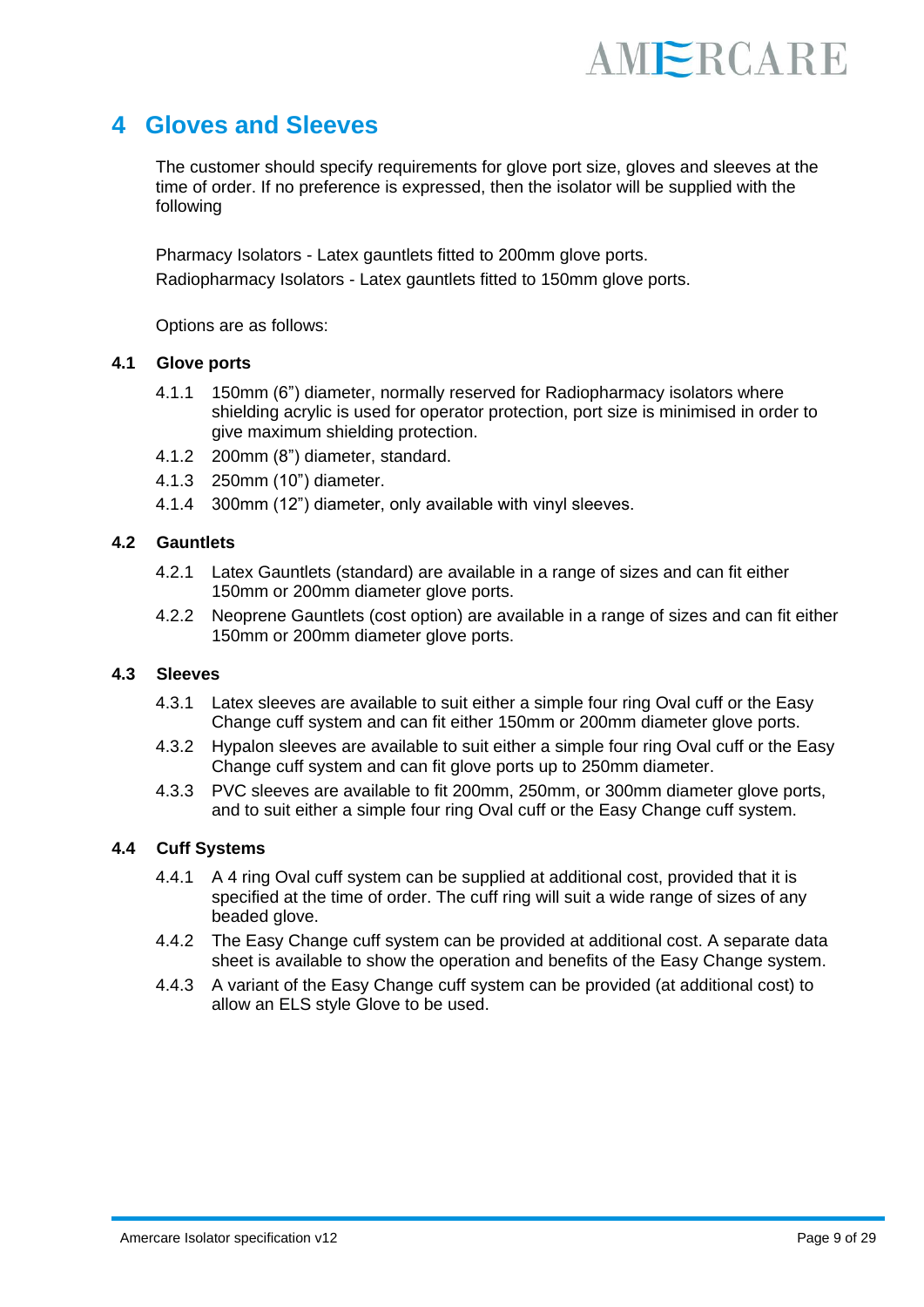

### **4 Gloves and Sleeves**

The customer should specify requirements for glove port size, gloves and sleeves at the time of order. If no preference is expressed, then the isolator will be supplied with the following

Pharmacy Isolators - Latex gauntlets fitted to 200mm glove ports. Radiopharmacy Isolators - Latex gauntlets fitted to 150mm glove ports.

Options are as follows:

#### **4.1 Glove ports**

- 4.1.1 150mm (6") diameter, normally reserved for Radiopharmacy isolators where shielding acrylic is used for operator protection, port size is minimised in order to give maximum shielding protection.
- 4.1.2 200mm (8") diameter, standard.
- 4.1.3 250mm (10") diameter.
- 4.1.4 300mm (12") diameter, only available with vinyl sleeves.

#### **4.2 Gauntlets**

- 4.2.1 Latex Gauntlets (standard) are available in a range of sizes and can fit either 150mm or 200mm diameter glove ports.
- 4.2.2 Neoprene Gauntlets (cost option) are available in a range of sizes and can fit either 150mm or 200mm diameter glove ports.

#### **4.3 Sleeves**

- 4.3.1 Latex sleeves are available to suit either a simple four ring Oval cuff or the Easy Change cuff system and can fit either 150mm or 200mm diameter glove ports.
- 4.3.2 Hypalon sleeves are available to suit either a simple four ring Oval cuff or the Easy Change cuff system and can fit glove ports up to 250mm diameter.
- 4.3.3 PVC sleeves are available to fit 200mm, 250mm, or 300mm diameter glove ports, and to suit either a simple four ring Oval cuff or the Easy Change cuff system.

#### **4.4 Cuff Systems**

- 4.4.1 A 4 ring Oval cuff system can be supplied at additional cost, provided that it is specified at the time of order. The cuff ring will suit a wide range of sizes of any beaded glove.
- 4.4.2 The Easy Change cuff system can be provided at additional cost. A separate data sheet is available to show the operation and benefits of the Easy Change system.
- 4.4.3 A variant of the Easy Change cuff system can be provided (at additional cost) to allow an ELS style Glove to be used.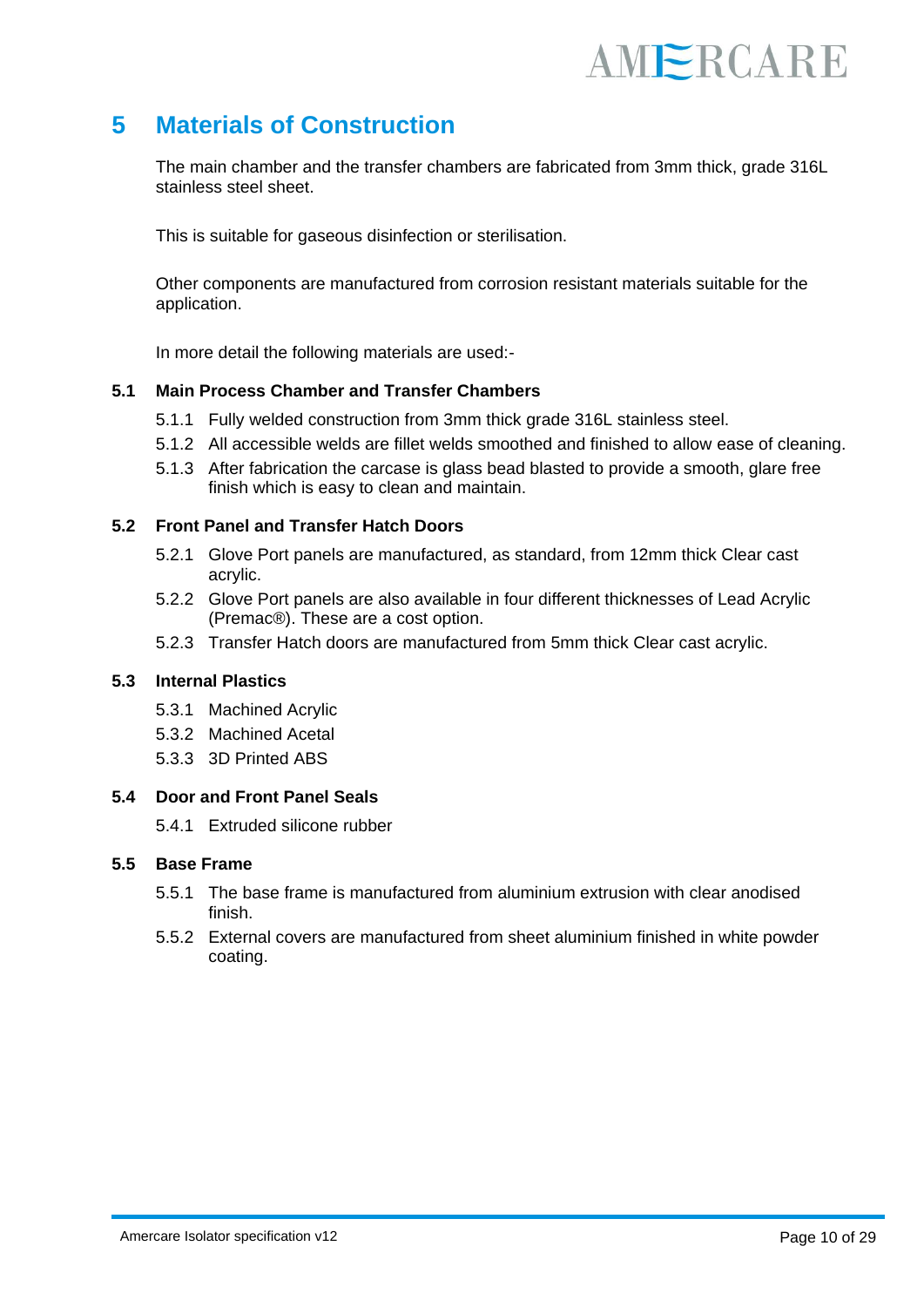### **5 Materials of Construction**

The main chamber and the transfer chambers are fabricated from 3mm thick, grade 316L stainless steel sheet.

This is suitable for gaseous disinfection or sterilisation.

Other components are manufactured from corrosion resistant materials suitable for the application.

In more detail the following materials are used:-

#### **5.1 Main Process Chamber and Transfer Chambers**

- 5.1.1 Fully welded construction from 3mm thick grade 316L stainless steel.
- 5.1.2 All accessible welds are fillet welds smoothed and finished to allow ease of cleaning.
- 5.1.3 After fabrication the carcase is glass bead blasted to provide a smooth, glare free finish which is easy to clean and maintain.

#### **5.2 Front Panel and Transfer Hatch Doors**

- 5.2.1 Glove Port panels are manufactured, as standard, from 12mm thick Clear cast acrylic.
- 5.2.2 Glove Port panels are also available in four different thicknesses of Lead Acrylic (Premac®). These are a cost option.
- 5.2.3 Transfer Hatch doors are manufactured from 5mm thick Clear cast acrylic.

#### **5.3 Internal Plastics**

- 5.3.1 Machined Acrylic
- 5.3.2 Machined Acetal
- 5.3.3 3D Printed ABS

#### **5.4 Door and Front Panel Seals**

5.4.1 Extruded silicone rubber

#### **5.5 Base Frame**

- 5.5.1 The base frame is manufactured from aluminium extrusion with clear anodised finish.
- 5.5.2 External covers are manufactured from sheet aluminium finished in white powder coating.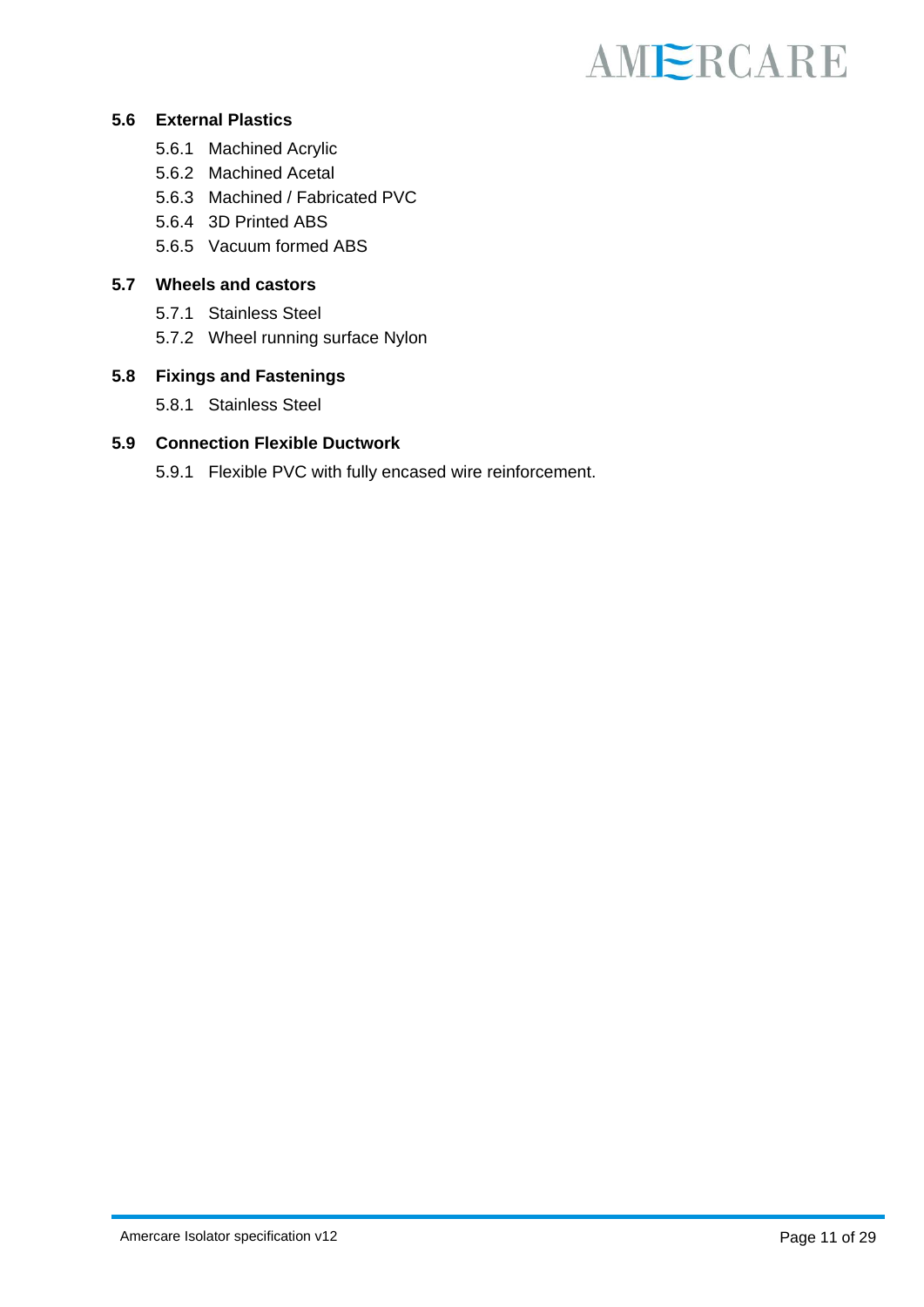#### **5.6 External Plastics**

- 5.6.1 Machined Acrylic
- 5.6.2 Machined Acetal
- 5.6.3 Machined / Fabricated PVC
- 5.6.4 3D Printed ABS
- 5.6.5 Vacuum formed ABS

#### **5.7 Wheels and castors**

- 5.7.1 Stainless Steel
- 5.7.2 Wheel running surface Nylon

#### **5.8 Fixings and Fastenings**

5.8.1 Stainless Steel

#### **5.9 Connection Flexible Ductwork**

5.9.1 Flexible PVC with fully encased wire reinforcement.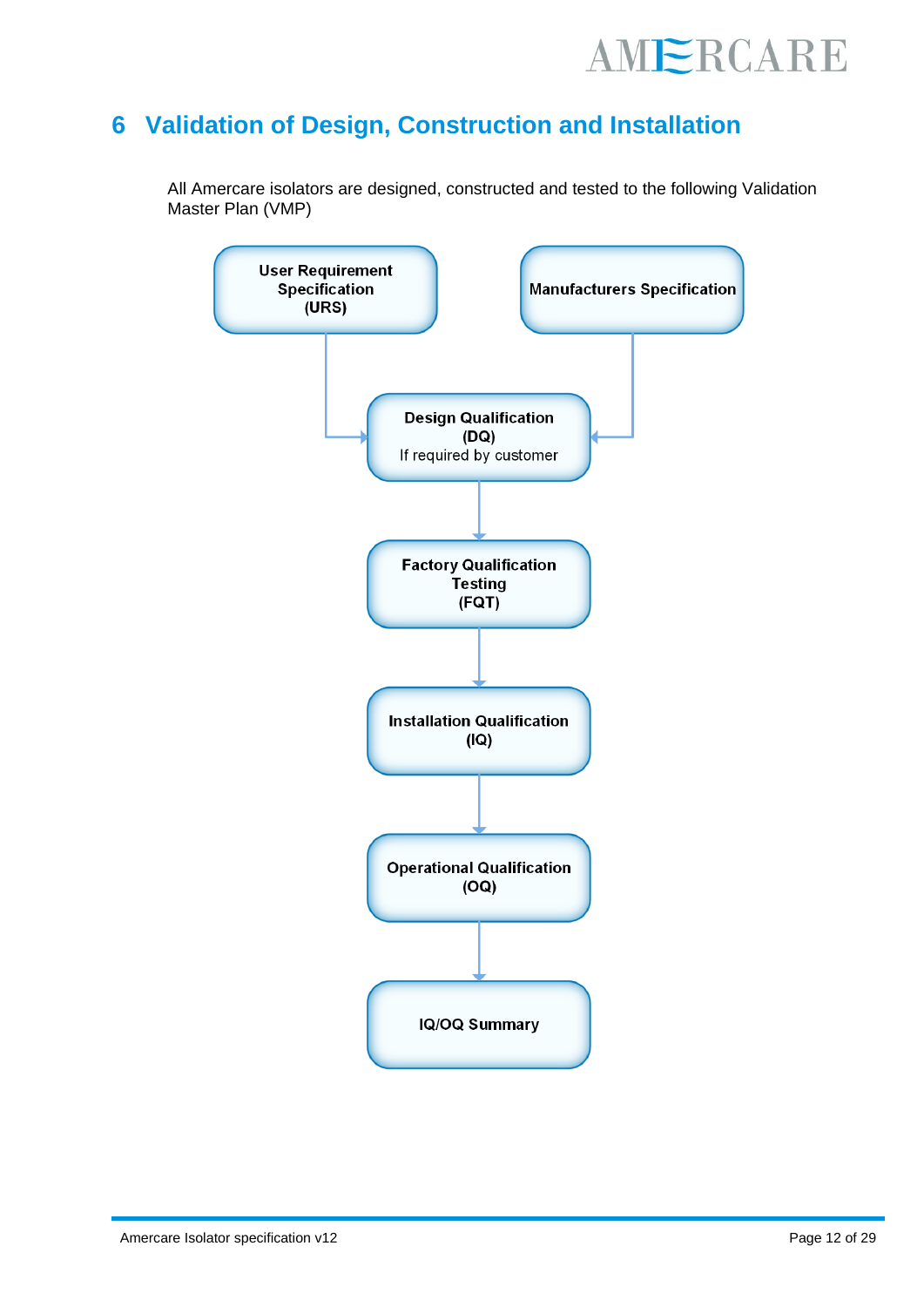

### **6 Validation of Design, Construction and Installation**

All Amercare isolators are designed, constructed and tested to the following Validation Master Plan (VMP)

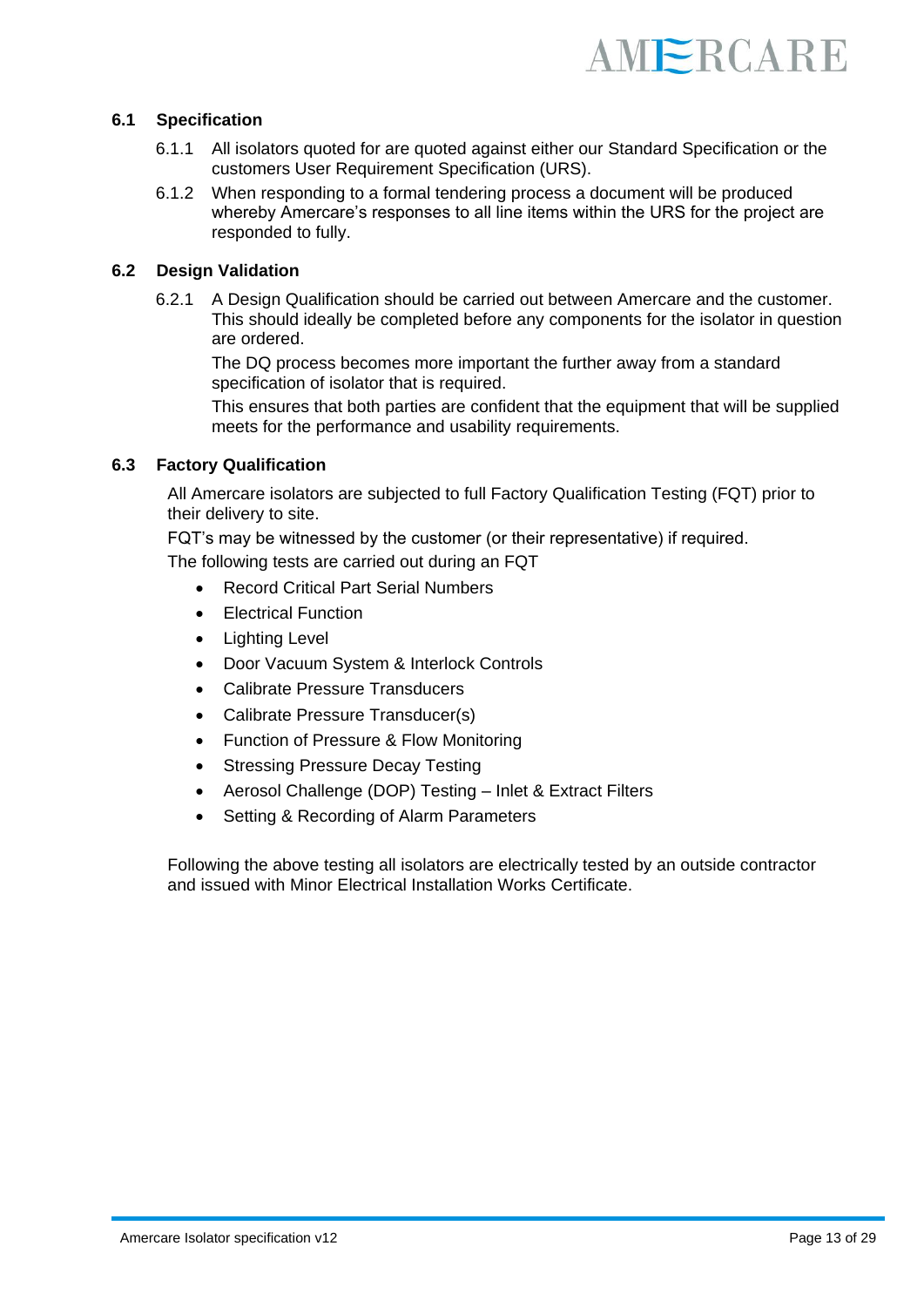

#### **6.1 Specification**

- 6.1.1 All isolators quoted for are quoted against either our Standard Specification or the customers User Requirement Specification (URS).
- 6.1.2 When responding to a formal tendering process a document will be produced whereby Amercare's responses to all line items within the URS for the project are responded to fully.

#### **6.2 Design Validation**

6.2.1 A Design Qualification should be carried out between Amercare and the customer. This should ideally be completed before any components for the isolator in question are ordered.

The DQ process becomes more important the further away from a standard specification of isolator that is required.

This ensures that both parties are confident that the equipment that will be supplied meets for the performance and usability requirements.

#### **6.3 Factory Qualification**

All Amercare isolators are subjected to full Factory Qualification Testing (FQT) prior to their delivery to site.

FQT's may be witnessed by the customer (or their representative) if required.

The following tests are carried out during an FQT

- Record Critical Part Serial Numbers
- Electrical Function
- Lighting Level
- Door Vacuum System & Interlock Controls
- Calibrate Pressure Transducers
- Calibrate Pressure Transducer(s)
- Function of Pressure & Flow Monitoring
- **Stressing Pressure Decay Testing**
- Aerosol Challenge (DOP) Testing Inlet & Extract Filters
- Setting & Recording of Alarm Parameters

Following the above testing all isolators are electrically tested by an outside contractor and issued with Minor Electrical Installation Works Certificate.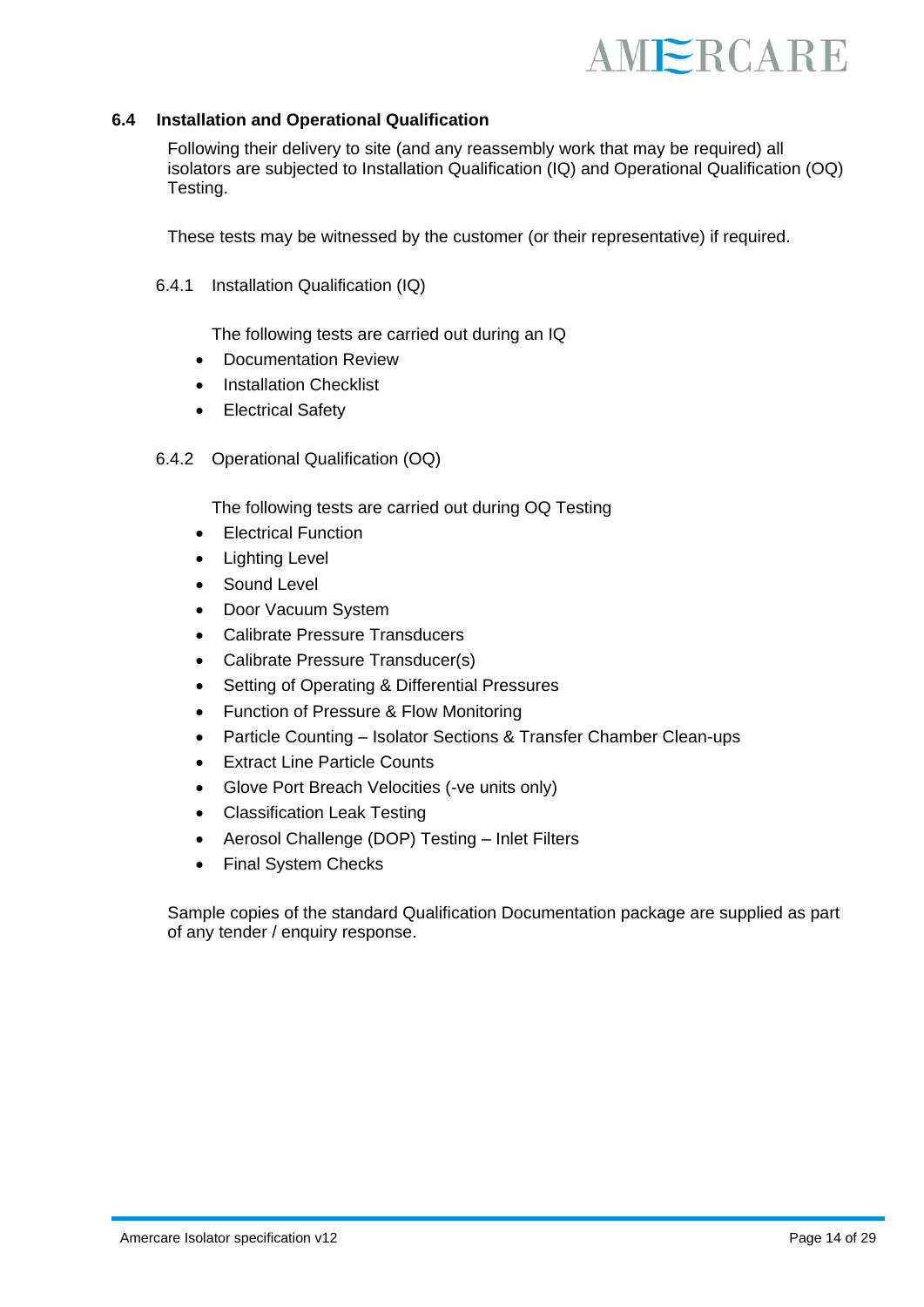#### **6.4 Installation and Operational Qualification**

Following their delivery to site (and any reassembly work that may be required) all isolators are subjected to Installation Qualification (IQ) and Operational Qualification (OQ) Testing.

These tests may be witnessed by the customer (or their representative) if required.

6.4.1 Installation Qualification (IQ)

The following tests are carried out during an IQ

- Documentation Review
- Installation Checklist
- Electrical Safety
- 6.4.2 Operational Qualification (OQ)

The following tests are carried out during OQ Testing

- Electrical Function
- Lighting Level
- Sound Level
- Door Vacuum System
- Calibrate Pressure Transducers
- Calibrate Pressure Transducer(s)
- Setting of Operating & Differential Pressures
- Function of Pressure & Flow Monitoring
- Particle Counting Isolator Sections & Transfer Chamber Clean-ups
- **Extract Line Particle Counts**
- Glove Port Breach Velocities (-ve units only)
- Classification Leak Testing
- Aerosol Challenge (DOP) Testing Inlet Filters
- Final System Checks

Sample copies of the standard Qualification Documentation package are supplied as part of any tender / enquiry response.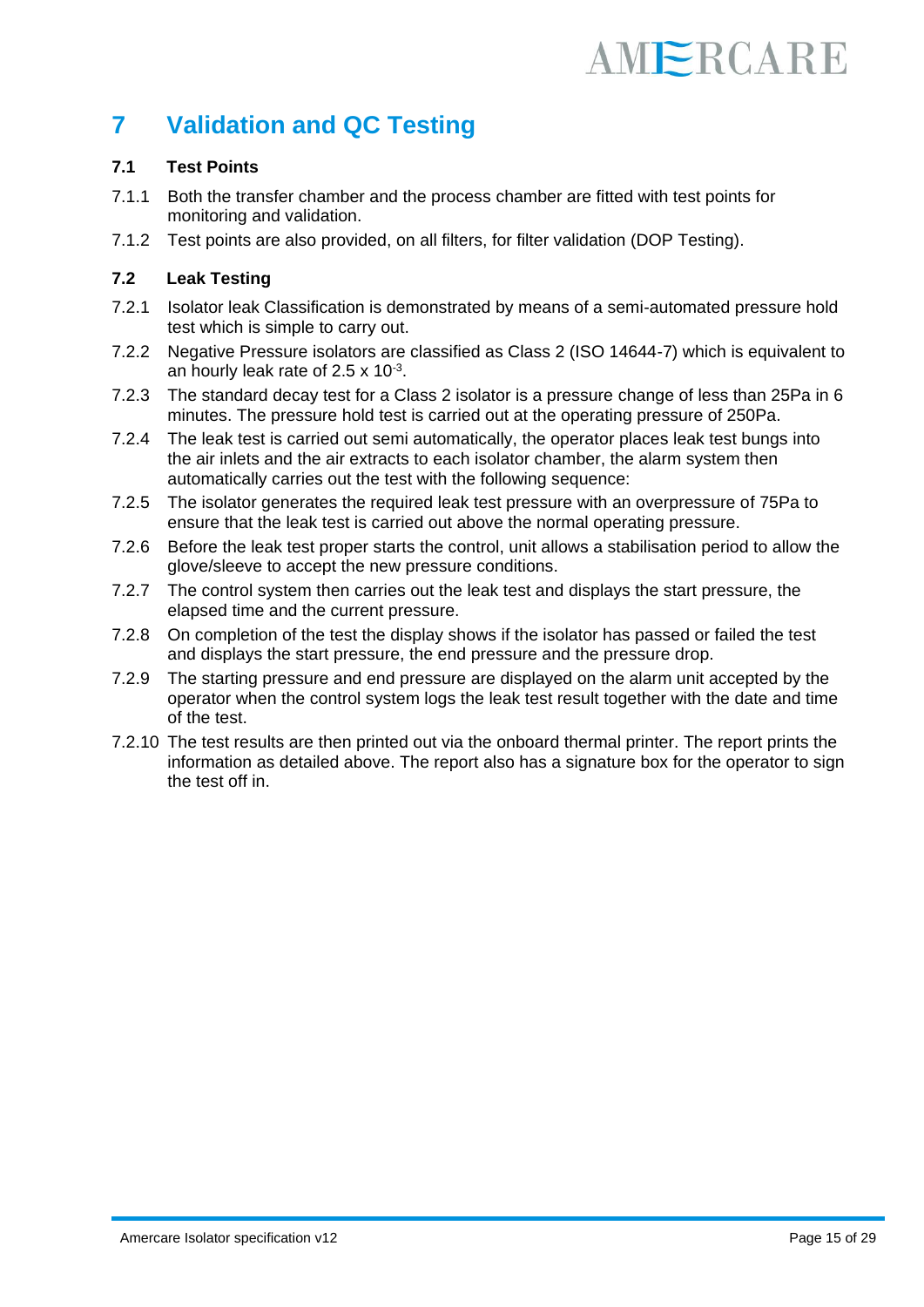### **7 Validation and QC Testing**

#### **7.1 Test Points**

- 7.1.1 Both the transfer chamber and the process chamber are fitted with test points for monitoring and validation.
- 7.1.2 Test points are also provided, on all filters, for filter validation (DOP Testing).

#### **7.2 Leak Testing**

- 7.2.1 Isolator leak Classification is demonstrated by means of a semi-automated pressure hold test which is simple to carry out.
- 7.2.2 Negative Pressure isolators are classified as Class 2 (ISO 14644-7) which is equivalent to an hourly leak rate of  $2.5 \times 10^{-3}$ .
- 7.2.3 The standard decay test for a Class 2 isolator is a pressure change of less than 25Pa in 6 minutes. The pressure hold test is carried out at the operating pressure of 250Pa.
- 7.2.4 The leak test is carried out semi automatically, the operator places leak test bungs into the air inlets and the air extracts to each isolator chamber, the alarm system then automatically carries out the test with the following sequence:
- 7.2.5 The isolator generates the required leak test pressure with an overpressure of 75Pa to ensure that the leak test is carried out above the normal operating pressure.
- 7.2.6 Before the leak test proper starts the control, unit allows a stabilisation period to allow the glove/sleeve to accept the new pressure conditions.
- 7.2.7 The control system then carries out the leak test and displays the start pressure, the elapsed time and the current pressure.
- 7.2.8 On completion of the test the display shows if the isolator has passed or failed the test and displays the start pressure, the end pressure and the pressure drop.
- 7.2.9 The starting pressure and end pressure are displayed on the alarm unit accepted by the operator when the control system logs the leak test result together with the date and time of the test.
- 7.2.10 The test results are then printed out via the onboard thermal printer. The report prints the information as detailed above. The report also has a signature box for the operator to sign the test off in.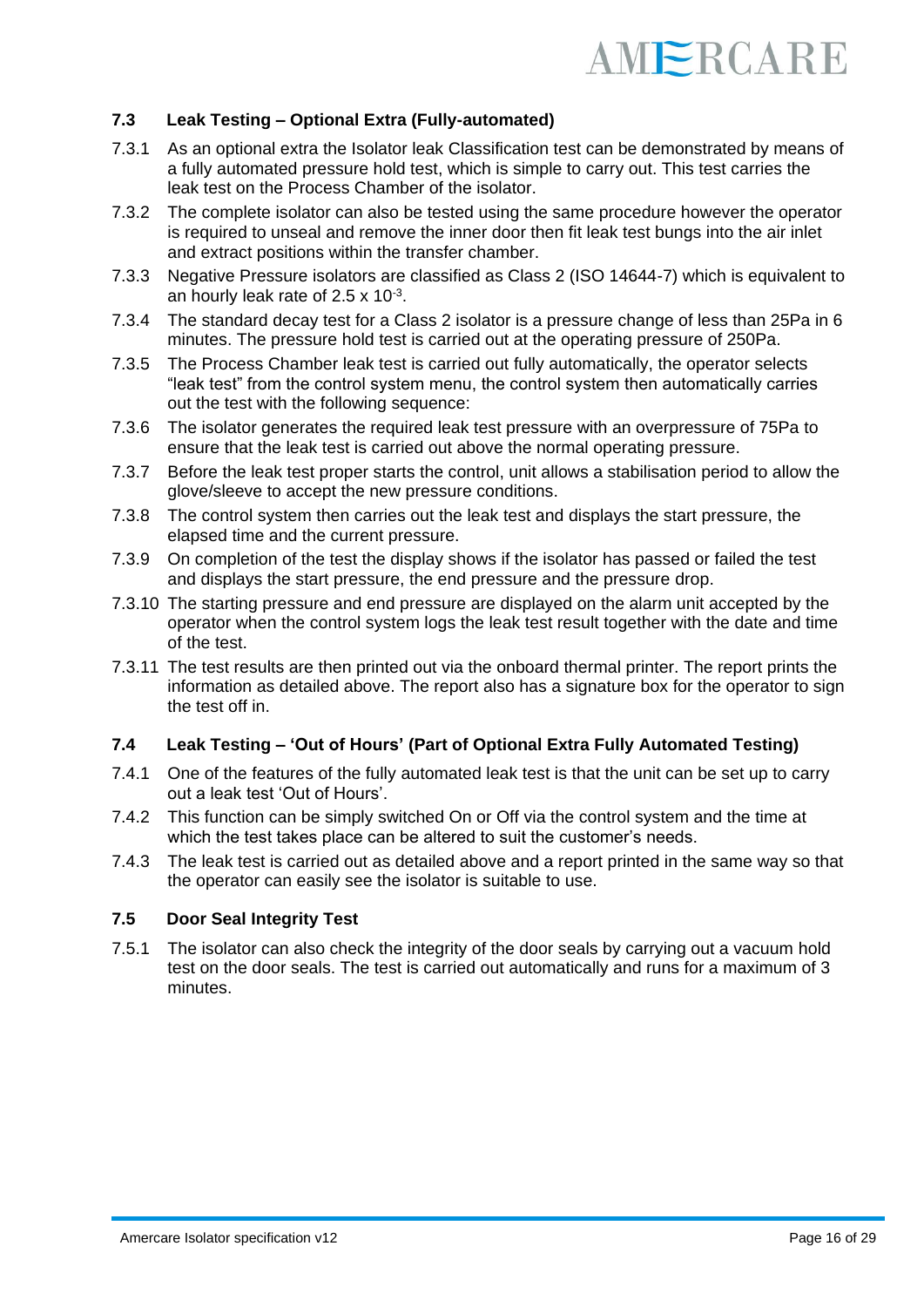

#### **7.3 Leak Testing – Optional Extra (Fully-automated)**

- 7.3.1 As an optional extra the Isolator leak Classification test can be demonstrated by means of a fully automated pressure hold test, which is simple to carry out. This test carries the leak test on the Process Chamber of the isolator.
- 7.3.2 The complete isolator can also be tested using the same procedure however the operator is required to unseal and remove the inner door then fit leak test bungs into the air inlet and extract positions within the transfer chamber.
- 7.3.3 Negative Pressure isolators are classified as Class 2 (ISO 14644-7) which is equivalent to an hourly leak rate of  $2.5 \times 10^{-3}$ .
- 7.3.4 The standard decay test for a Class 2 isolator is a pressure change of less than 25Pa in 6 minutes. The pressure hold test is carried out at the operating pressure of 250Pa.
- 7.3.5 The Process Chamber leak test is carried out fully automatically, the operator selects "leak test" from the control system menu, the control system then automatically carries out the test with the following sequence:
- 7.3.6 The isolator generates the required leak test pressure with an overpressure of 75Pa to ensure that the leak test is carried out above the normal operating pressure.
- 7.3.7 Before the leak test proper starts the control, unit allows a stabilisation period to allow the glove/sleeve to accept the new pressure conditions.
- 7.3.8 The control system then carries out the leak test and displays the start pressure, the elapsed time and the current pressure.
- 7.3.9 On completion of the test the display shows if the isolator has passed or failed the test and displays the start pressure, the end pressure and the pressure drop.
- 7.3.10 The starting pressure and end pressure are displayed on the alarm unit accepted by the operator when the control system logs the leak test result together with the date and time of the test.
- 7.3.11 The test results are then printed out via the onboard thermal printer. The report prints the information as detailed above. The report also has a signature box for the operator to sign the test off in.

#### **7.4 Leak Testing – 'Out of Hours' (Part of Optional Extra Fully Automated Testing)**

- 7.4.1 One of the features of the fully automated leak test is that the unit can be set up to carry out a leak test 'Out of Hours'.
- 7.4.2 This function can be simply switched On or Off via the control system and the time at which the test takes place can be altered to suit the customer's needs.
- 7.4.3 The leak test is carried out as detailed above and a report printed in the same way so that the operator can easily see the isolator is suitable to use.

#### **7.5 Door Seal Integrity Test**

7.5.1 The isolator can also check the integrity of the door seals by carrying out a vacuum hold test on the door seals. The test is carried out automatically and runs for a maximum of 3 minutes.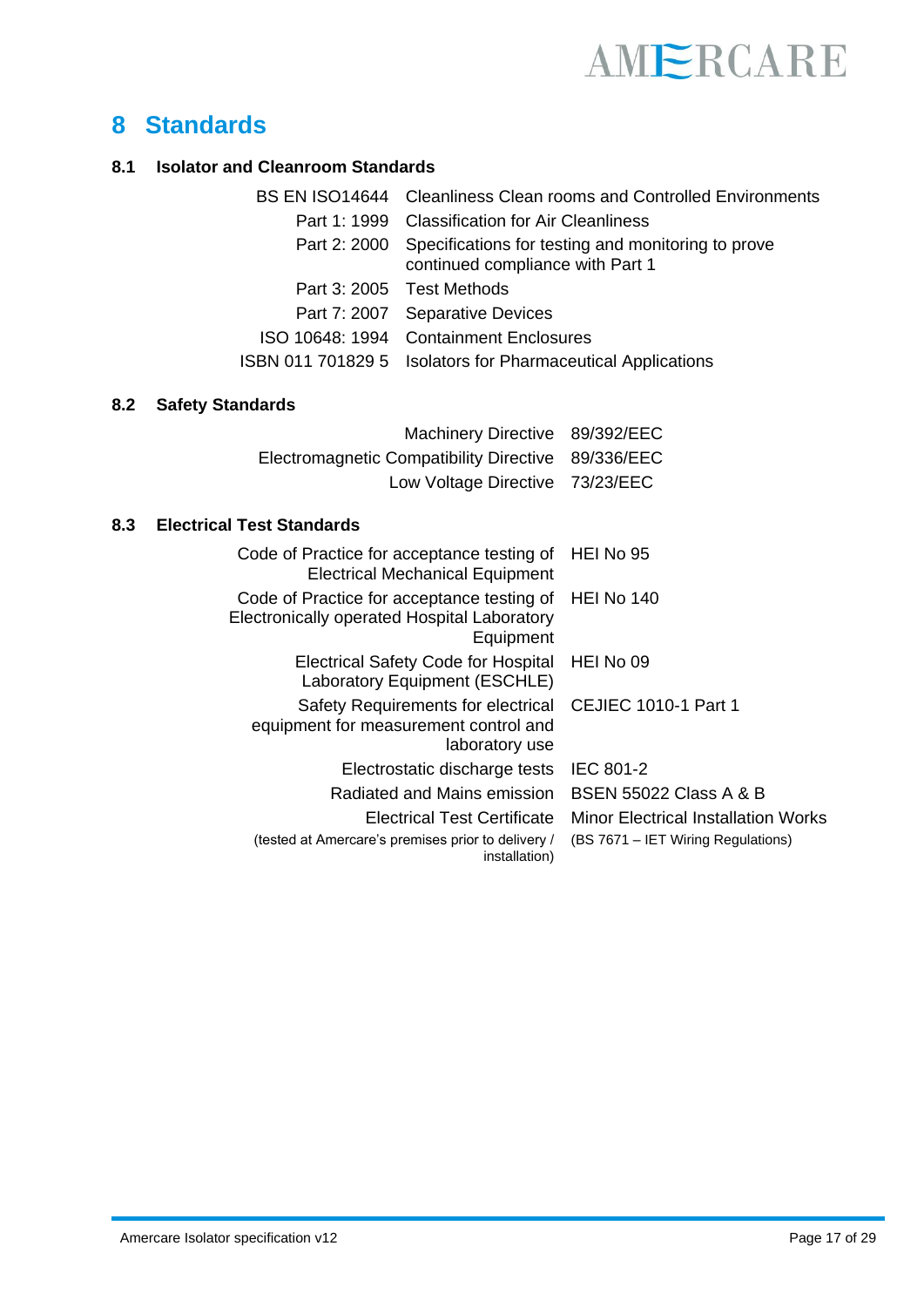

### **8 Standards**

#### **8.1 Isolator and Cleanroom Standards**

| BS EN ISO14644 Cleanliness Clean rooms and Controlled Environments                                  |
|-----------------------------------------------------------------------------------------------------|
| Part 1: 1999 Classification for Air Cleanliness                                                     |
| Part 2: 2000 Specifications for testing and monitoring to prove<br>continued compliance with Part 1 |
| Part 3: 2005 Test Methods                                                                           |
| Part 7: 2007 Separative Devices                                                                     |
| ISO 10648: 1994 Containment Enclosures                                                              |
| ISBN 011 701829 5 Isolators for Pharmaceutical Applications                                         |

#### **8.2 Safety Standards**

| Machinery Directive 89/392/EEC                     |  |
|----------------------------------------------------|--|
| Electromagnetic Compatibility Directive 89/336/EEC |  |
| Low Voltage Directive 73/23/EEC                    |  |

#### **8.3 Electrical Test Standards**

| HEI No 95                           |
|-------------------------------------|
| <b>HEI No 140</b>                   |
| HEI No 09                           |
| CEJIEC 1010-1 Part 1                |
| <b>IEC 801-2</b>                    |
| <b>BSEN 55022 Class A &amp; B</b>   |
| Minor Electrical Installation Works |
| (BS 7671 – IET Wiring Regulations)  |
|                                     |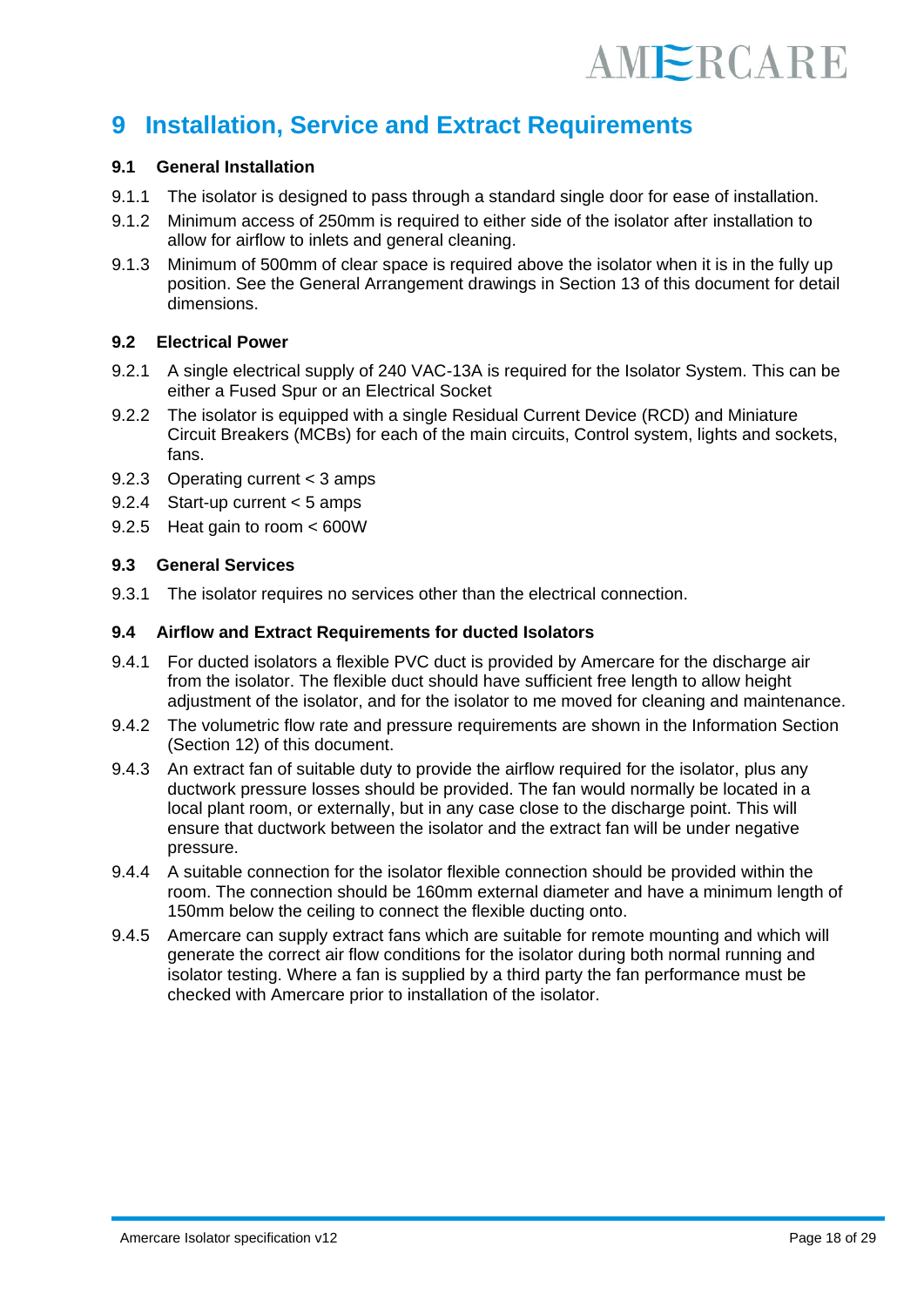### **9 Installation, Service and Extract Requirements**

#### **9.1 General Installation**

- 9.1.1 The isolator is designed to pass through a standard single door for ease of installation.
- 9.1.2 Minimum access of 250mm is required to either side of the isolator after installation to allow for airflow to inlets and general cleaning.
- 9.1.3 Minimum of 500mm of clear space is required above the isolator when it is in the fully up position. See the General Arrangement drawings in Section 13 of this document for detail dimensions.

#### **9.2 Electrical Power**

- 9.2.1 A single electrical supply of 240 VAC-13A is required for the Isolator System. This can be either a Fused Spur or an Electrical Socket
- 9.2.2 The isolator is equipped with a single Residual Current Device (RCD) and Miniature Circuit Breakers (MCBs) for each of the main circuits, Control system, lights and sockets, fans.
- 9.2.3 Operating current < 3 amps
- 9.2.4 Start-up current < 5 amps
- 9.2.5 Heat gain to room < 600W

#### **9.3 General Services**

9.3.1 The isolator requires no services other than the electrical connection.

#### **9.4 Airflow and Extract Requirements for ducted Isolators**

- 9.4.1 For ducted isolators a flexible PVC duct is provided by Amercare for the discharge air from the isolator. The flexible duct should have sufficient free length to allow height adjustment of the isolator, and for the isolator to me moved for cleaning and maintenance.
- 9.4.2 The volumetric flow rate and pressure requirements are shown in the Information Section (Section 12) of this document.
- 9.4.3 An extract fan of suitable duty to provide the airflow required for the isolator, plus any ductwork pressure losses should be provided. The fan would normally be located in a local plant room, or externally, but in any case close to the discharge point. This will ensure that ductwork between the isolator and the extract fan will be under negative pressure.
- 9.4.4 A suitable connection for the isolator flexible connection should be provided within the room. The connection should be 160mm external diameter and have a minimum length of 150mm below the ceiling to connect the flexible ducting onto.
- 9.4.5 Amercare can supply extract fans which are suitable for remote mounting and which will generate the correct air flow conditions for the isolator during both normal running and isolator testing. Where a fan is supplied by a third party the fan performance must be checked with Amercare prior to installation of the isolator.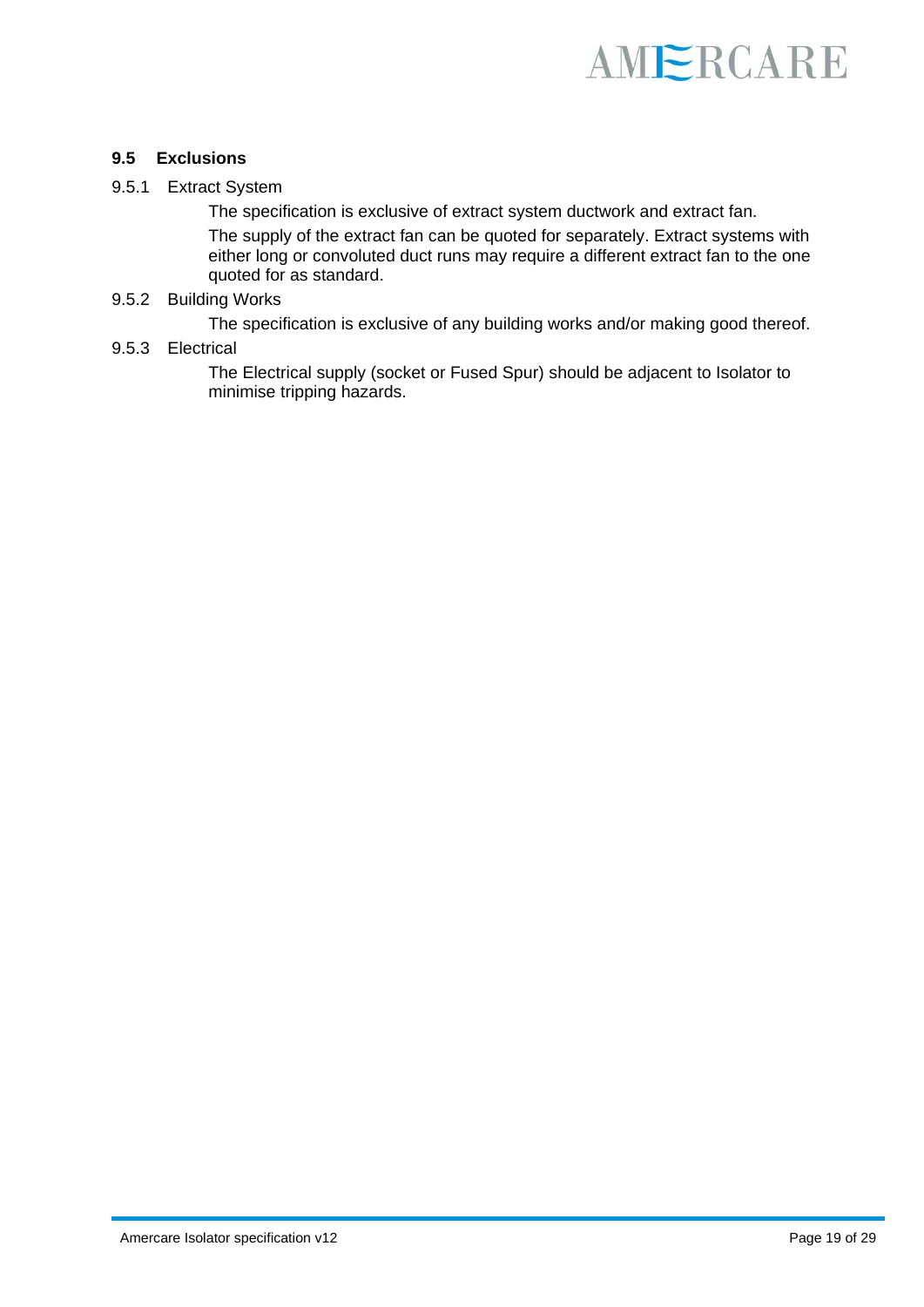

#### **9.5 Exclusions**

#### 9.5.1 Extract System

The specification is exclusive of extract system ductwork and extract fan.

The supply of the extract fan can be quoted for separately. Extract systems with either long or convoluted duct runs may require a different extract fan to the one quoted for as standard.

#### 9.5.2 Building Works

The specification is exclusive of any building works and/or making good thereof.

#### 9.5.3 Electrical

The Electrical supply (socket or Fused Spur) should be adjacent to Isolator to minimise tripping hazards.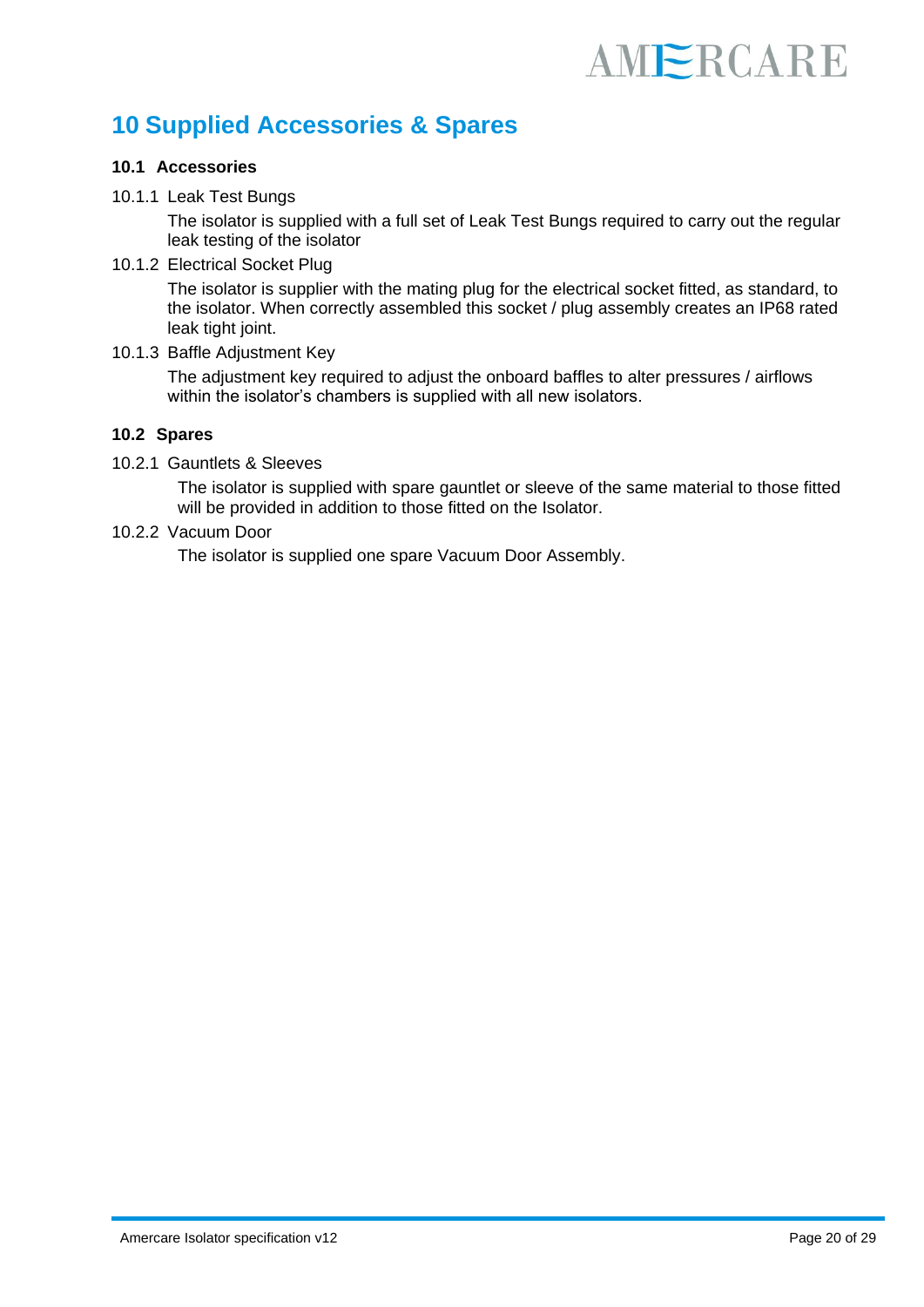### **10 Supplied Accessories & Spares**

#### **10.1 Accessories**

#### 10.1.1 Leak Test Bungs

The isolator is supplied with a full set of Leak Test Bungs required to carry out the regular leak testing of the isolator

10.1.2 Electrical Socket Plug

The isolator is supplier with the mating plug for the electrical socket fitted, as standard, to the isolator. When correctly assembled this socket / plug assembly creates an IP68 rated leak tight joint.

10.1.3 Baffle Adjustment Key

The adjustment key required to adjust the onboard baffles to alter pressures / airflows within the isolator's chambers is supplied with all new isolators.

#### **10.2 Spares**

10.2.1 Gauntlets & Sleeves

The isolator is supplied with spare gauntlet or sleeve of the same material to those fitted will be provided in addition to those fitted on the Isolator.

10.2.2 Vacuum Door

The isolator is supplied one spare Vacuum Door Assembly.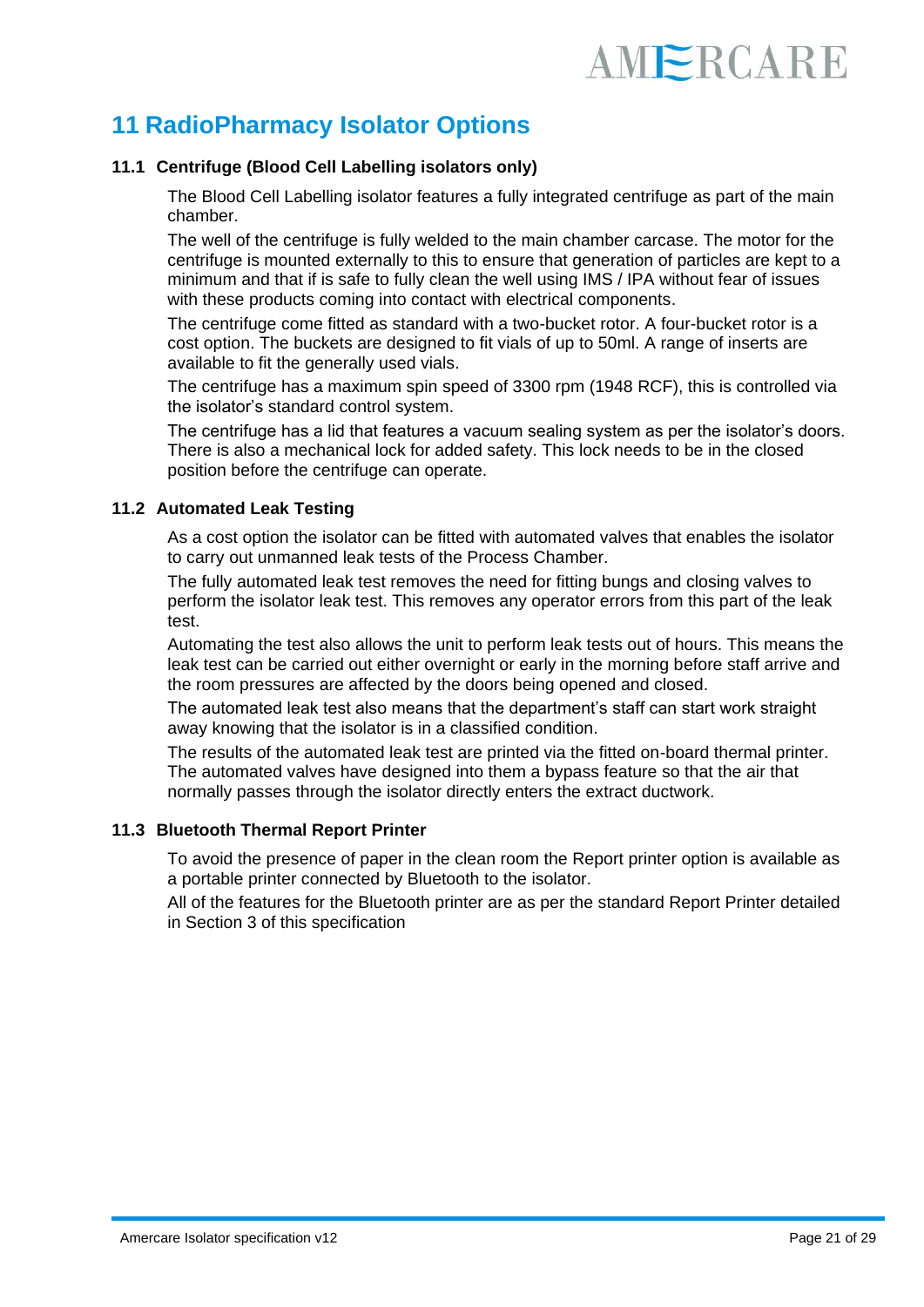### **11 RadioPharmacy Isolator Options**

#### **11.1 Centrifuge (Blood Cell Labelling isolators only)**

The Blood Cell Labelling isolator features a fully integrated centrifuge as part of the main chamber.

The well of the centrifuge is fully welded to the main chamber carcase. The motor for the centrifuge is mounted externally to this to ensure that generation of particles are kept to a minimum and that if is safe to fully clean the well using IMS / IPA without fear of issues with these products coming into contact with electrical components.

The centrifuge come fitted as standard with a two-bucket rotor. A four-bucket rotor is a cost option. The buckets are designed to fit vials of up to 50ml. A range of inserts are available to fit the generally used vials.

The centrifuge has a maximum spin speed of 3300 rpm (1948 RCF), this is controlled via the isolator's standard control system.

The centrifuge has a lid that features a vacuum sealing system as per the isolator's doors. There is also a mechanical lock for added safety. This lock needs to be in the closed position before the centrifuge can operate.

#### **11.2 Automated Leak Testing**

As a cost option the isolator can be fitted with automated valves that enables the isolator to carry out unmanned leak tests of the Process Chamber.

The fully automated leak test removes the need for fitting bungs and closing valves to perform the isolator leak test. This removes any operator errors from this part of the leak test.

Automating the test also allows the unit to perform leak tests out of hours. This means the leak test can be carried out either overnight or early in the morning before staff arrive and the room pressures are affected by the doors being opened and closed.

The automated leak test also means that the department's staff can start work straight away knowing that the isolator is in a classified condition.

The results of the automated leak test are printed via the fitted on-board thermal printer. The automated valves have designed into them a bypass feature so that the air that normally passes through the isolator directly enters the extract ductwork.

#### **11.3 Bluetooth Thermal Report Printer**

To avoid the presence of paper in the clean room the Report printer option is available as a portable printer connected by Bluetooth to the isolator.

All of the features for the Bluetooth printer are as per the standard Report Printer detailed in Section 3 of this specification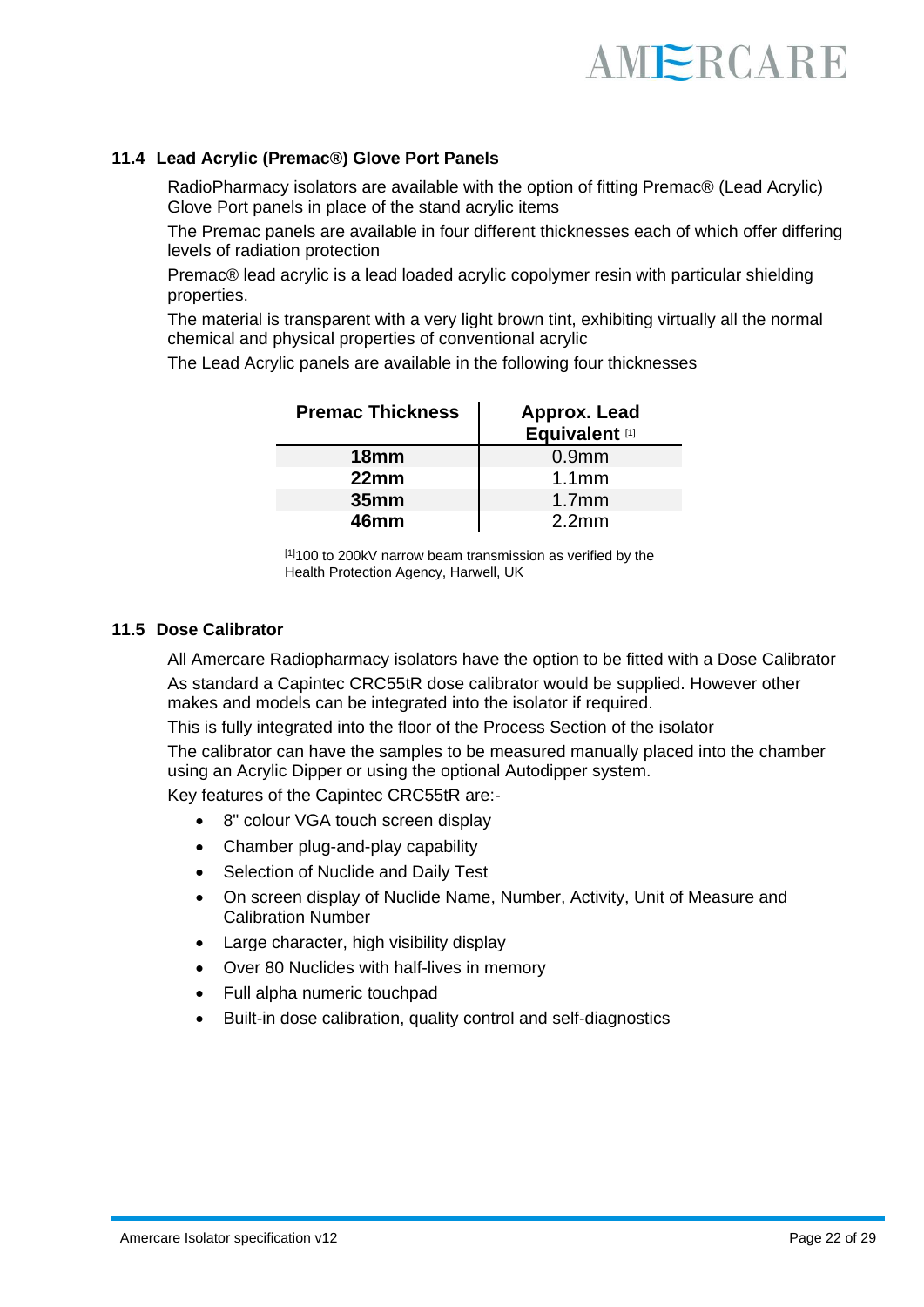

#### **11.4 Lead Acrylic (Premac®) Glove Port Panels**

RadioPharmacy isolators are available with the option of fitting Premac® (Lead Acrylic) Glove Port panels in place of the stand acrylic items

The Premac panels are available in four different thicknesses each of which offer differing levels of radiation protection

Premac® lead acrylic is a lead loaded acrylic copolymer resin with particular shielding properties.

The material is transparent with a very light brown tint, exhibiting virtually all the normal chemical and physical properties of conventional acrylic

The Lead Acrylic panels are available in the following four thicknesses

| <b>Premac Thickness</b> | Approx. Lead<br>Equivalent <sup>[1]</sup> |
|-------------------------|-------------------------------------------|
| 18 <sub>mm</sub>        | 0.9 <sub>mm</sub>                         |
| 22mm                    | 1.1 <sub>mm</sub>                         |
| 35 <sub>mm</sub>        | 1.7 <sub>mm</sub>                         |
| 46mm                    | 2.2 <sub>mm</sub>                         |

[1]100 to 200kV narrow beam transmission as verified by the Health Protection Agency, Harwell, UK

#### **11.5 Dose Calibrator**

All Amercare Radiopharmacy isolators have the option to be fitted with a Dose Calibrator As standard a Capintec CRC55tR dose calibrator would be supplied. However other makes and models can be integrated into the isolator if required.

This is fully integrated into the floor of the Process Section of the isolator

The calibrator can have the samples to be measured manually placed into the chamber using an Acrylic Dipper or using the optional Autodipper system.

Key features of the Capintec CRC55tR are:-

- 8" colour VGA touch screen display
- Chamber plug-and-play capability
- Selection of Nuclide and Daily Test
- On screen display of Nuclide Name, Number, Activity, Unit of Measure and Calibration Number
- Large character, high visibility display
- Over 80 Nuclides with half-lives in memory
- Full alpha numeric touchpad
- Built-in dose calibration, quality control and self-diagnostics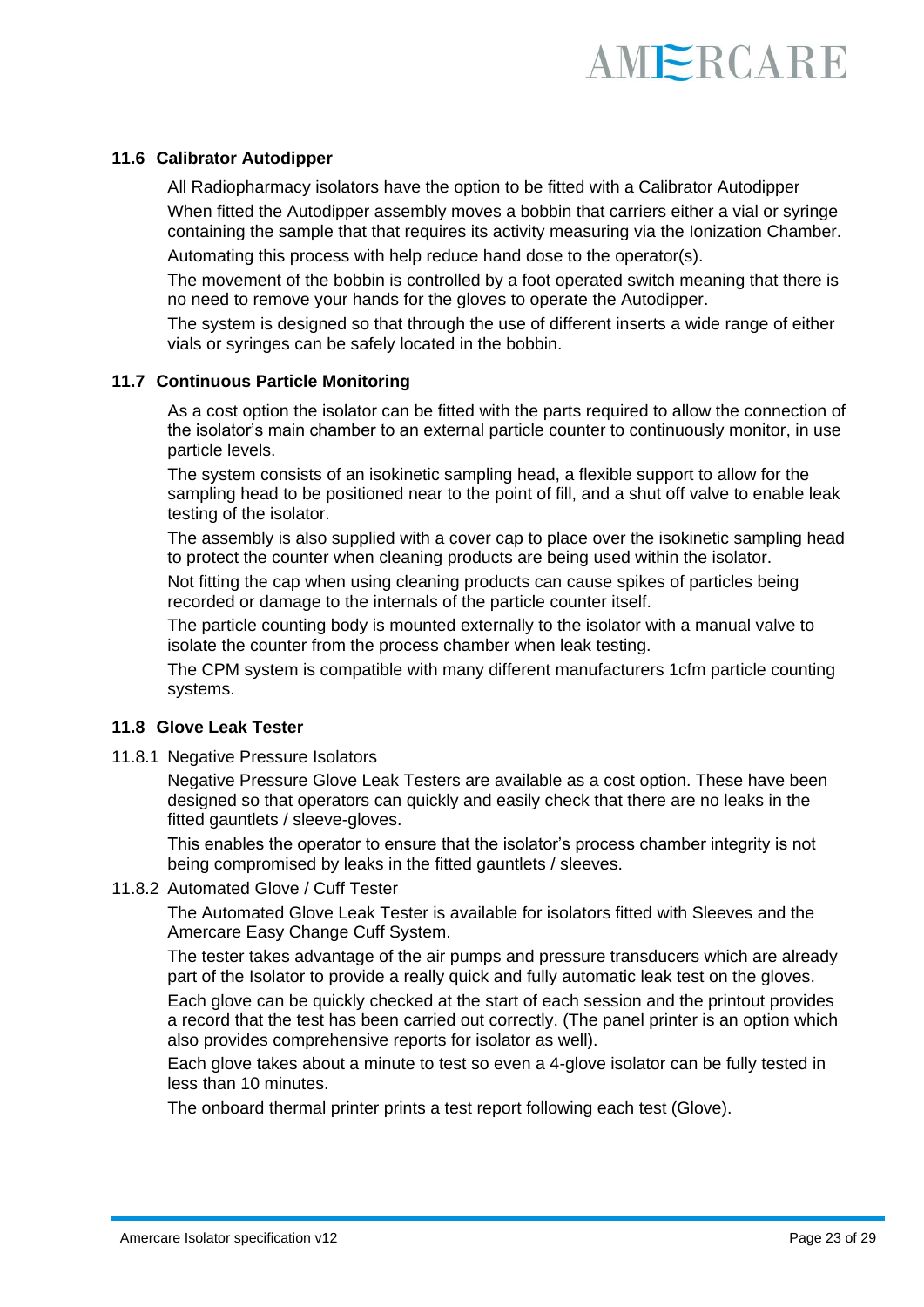

#### **11.6 Calibrator Autodipper**

All Radiopharmacy isolators have the option to be fitted with a Calibrator Autodipper When fitted the Autodipper assembly moves a bobbin that carriers either a vial or syringe containing the sample that that requires its activity measuring via the Ionization Chamber.

Automating this process with help reduce hand dose to the operator(s).

The movement of the bobbin is controlled by a foot operated switch meaning that there is no need to remove your hands for the gloves to operate the Autodipper.

The system is designed so that through the use of different inserts a wide range of either vials or syringes can be safely located in the bobbin.

#### **11.7 Continuous Particle Monitoring**

As a cost option the isolator can be fitted with the parts required to allow the connection of the isolator's main chamber to an external particle counter to continuously monitor, in use particle levels.

The system consists of an isokinetic sampling head, a flexible support to allow for the sampling head to be positioned near to the point of fill, and a shut off valve to enable leak testing of the isolator.

The assembly is also supplied with a cover cap to place over the isokinetic sampling head to protect the counter when cleaning products are being used within the isolator.

Not fitting the cap when using cleaning products can cause spikes of particles being recorded or damage to the internals of the particle counter itself.

The particle counting body is mounted externally to the isolator with a manual valve to isolate the counter from the process chamber when leak testing.

The CPM system is compatible with many different manufacturers 1cfm particle counting systems.

#### **11.8 Glove Leak Tester**

11.8.1 Negative Pressure Isolators

Negative Pressure Glove Leak Testers are available as a cost option. These have been designed so that operators can quickly and easily check that there are no leaks in the fitted gauntlets / sleeve-gloves.

This enables the operator to ensure that the isolator's process chamber integrity is not being compromised by leaks in the fitted gauntlets / sleeves.

#### 11.8.2 Automated Glove / Cuff Tester

The Automated Glove Leak Tester is available for isolators fitted with Sleeves and the Amercare Easy Change Cuff System.

The tester takes advantage of the air pumps and pressure transducers which are already part of the Isolator to provide a really quick and fully automatic leak test on the gloves.

Each glove can be quickly checked at the start of each session and the printout provides a record that the test has been carried out correctly. (The panel printer is an option which also provides comprehensive reports for isolator as well).

Each glove takes about a minute to test so even a 4-glove isolator can be fully tested in less than 10 minutes.

The onboard thermal printer prints a test report following each test (Glove).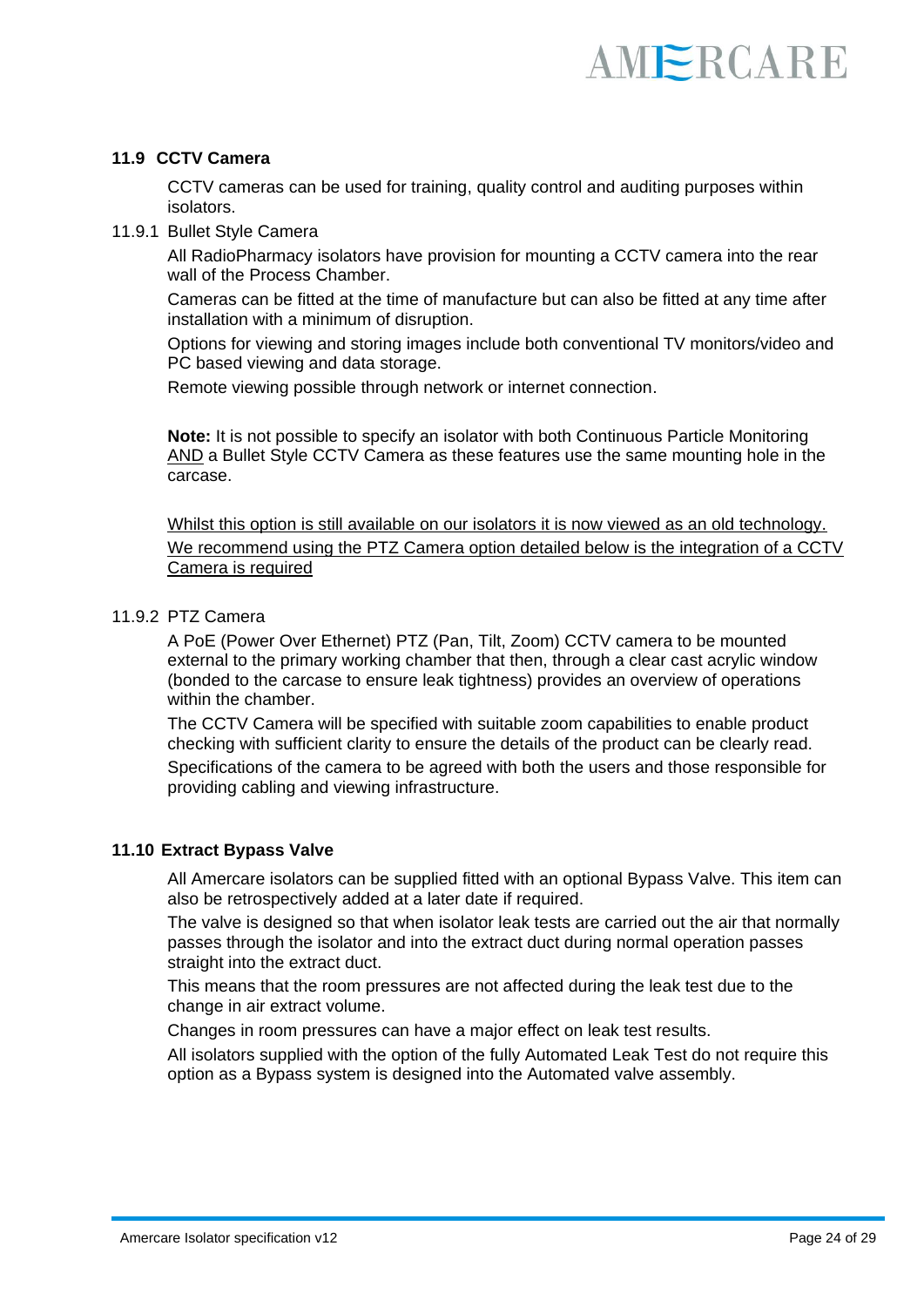#### **11.9 CCTV Camera**

CCTV cameras can be used for training, quality control and auditing purposes within isolators.

11.9.1 Bullet Style Camera

All RadioPharmacy isolators have provision for mounting a CCTV camera into the rear wall of the Process Chamber.

Cameras can be fitted at the time of manufacture but can also be fitted at any time after installation with a minimum of disruption.

Options for viewing and storing images include both conventional TV monitors/video and PC based viewing and data storage.

Remote viewing possible through network or internet connection.

**Note:** It is not possible to specify an isolator with both Continuous Particle Monitoring AND a Bullet Style CCTV Camera as these features use the same mounting hole in the carcase.

Whilst this option is still available on our isolators it is now viewed as an old technology. We recommend using the PTZ Camera option detailed below is the integration of a CCTV Camera is required

#### 11.9.2 PTZ Camera

A PoE (Power Over Ethernet) PTZ (Pan, Tilt, Zoom) CCTV camera to be mounted external to the primary working chamber that then, through a clear cast acrylic window (bonded to the carcase to ensure leak tightness) provides an overview of operations within the chamber.

The CCTV Camera will be specified with suitable zoom capabilities to enable product checking with sufficient clarity to ensure the details of the product can be clearly read. Specifications of the camera to be agreed with both the users and those responsible for providing cabling and viewing infrastructure.

#### **11.10 Extract Bypass Valve**

All Amercare isolators can be supplied fitted with an optional Bypass Valve. This item can also be retrospectively added at a later date if required.

The valve is designed so that when isolator leak tests are carried out the air that normally passes through the isolator and into the extract duct during normal operation passes straight into the extract duct.

This means that the room pressures are not affected during the leak test due to the change in air extract volume.

Changes in room pressures can have a major effect on leak test results.

All isolators supplied with the option of the fully Automated Leak Test do not require this option as a Bypass system is designed into the Automated valve assembly.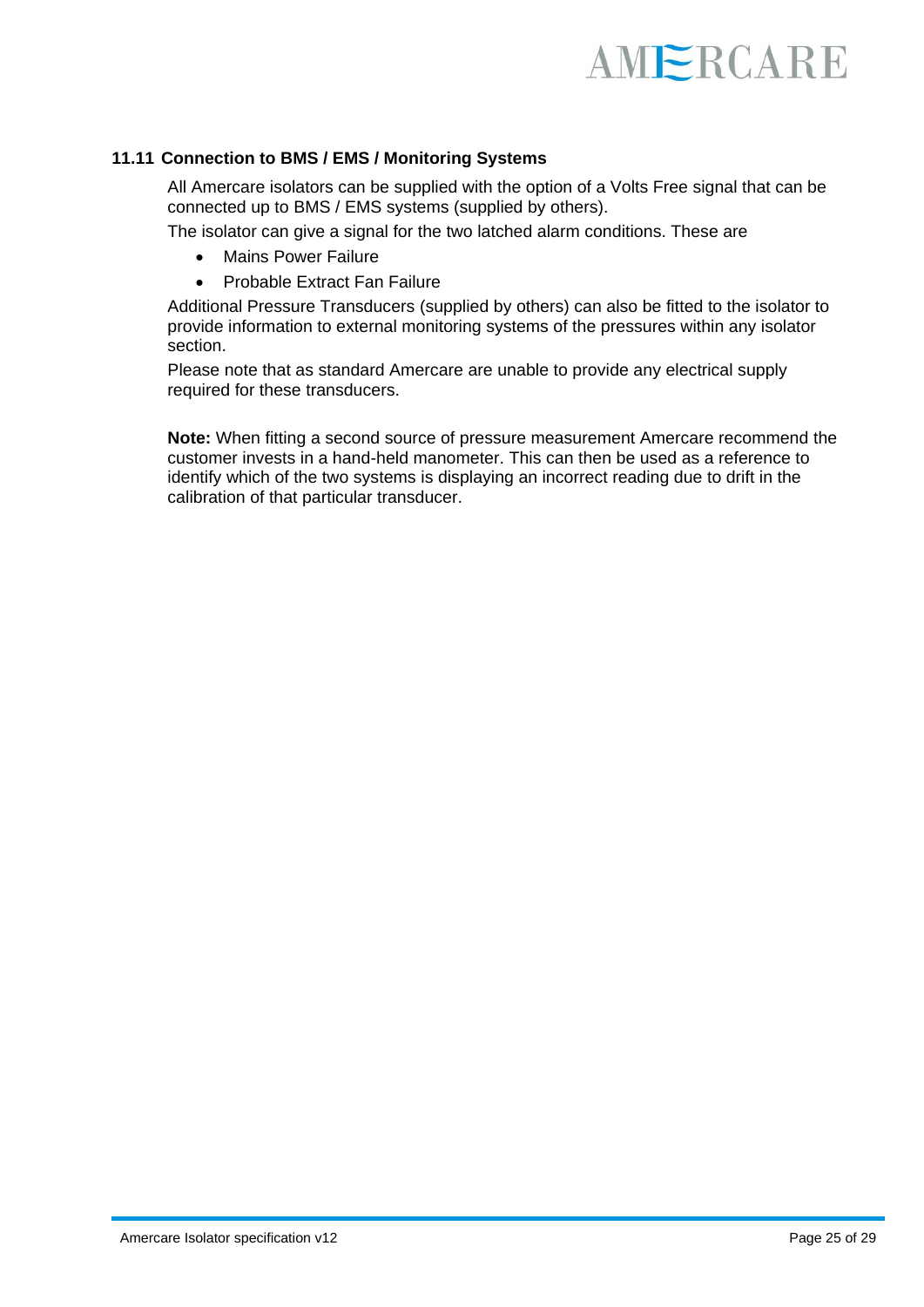

#### **11.11 Connection to BMS / EMS / Monitoring Systems**

All Amercare isolators can be supplied with the option of a Volts Free signal that can be connected up to BMS / EMS systems (supplied by others).

The isolator can give a signal for the two latched alarm conditions. These are

- Mains Power Failure
- Probable Extract Fan Failure

Additional Pressure Transducers (supplied by others) can also be fitted to the isolator to provide information to external monitoring systems of the pressures within any isolator section.

Please note that as standard Amercare are unable to provide any electrical supply required for these transducers.

**Note:** When fitting a second source of pressure measurement Amercare recommend the customer invests in a hand-held manometer. This can then be used as a reference to identify which of the two systems is displaying an incorrect reading due to drift in the calibration of that particular transducer.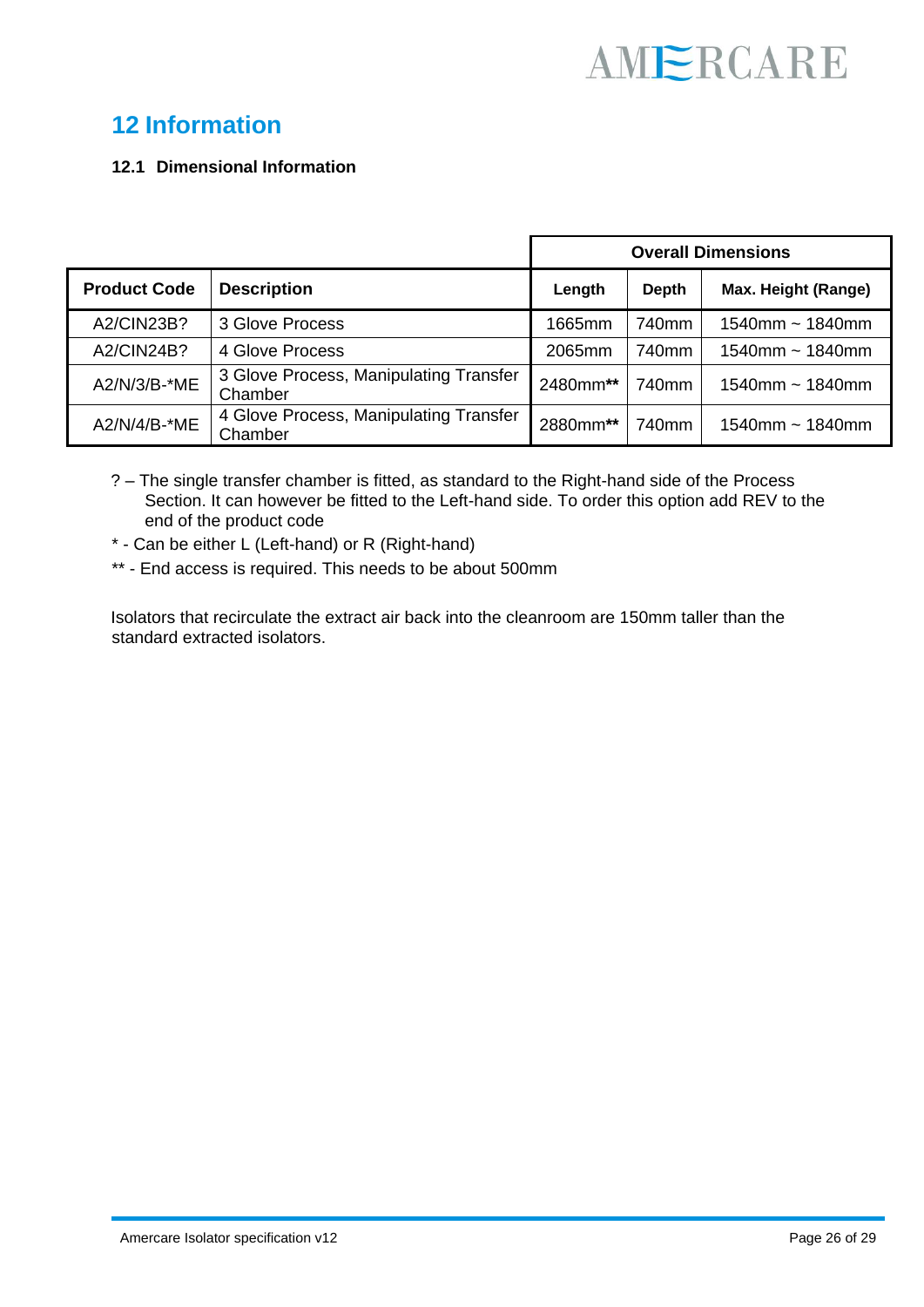### **12 Information**

#### **12.1 Dimensional Information**

|                     |                                                   | <b>Overall Dimensions</b> |                   |                      |
|---------------------|---------------------------------------------------|---------------------------|-------------------|----------------------|
| <b>Product Code</b> | <b>Description</b>                                | Length                    | <b>Depth</b>      | Max. Height (Range)  |
| A2/CIN23B?          | 3 Glove Process                                   | 1665mm                    | 740 <sub>mm</sub> | 1540mm $\sim$ 1840mm |
| A2/CIN24B?          | 4 Glove Process                                   | 2065mm                    | 740mm             | 1540mm $\sim$ 1840mm |
| A2/N/3/B-*ME        | 3 Glove Process, Manipulating Transfer<br>Chamber | 2480mm**                  | 740mm             | 1540mm $\sim$ 1840mm |
| A2/N/4/B-*ME        | 4 Glove Process, Manipulating Transfer<br>Chamber | 2880mm**                  | 740mm             | 1540mm $\sim$ 1840mm |

- ? The single transfer chamber is fitted, as standard to the Right-hand side of the Process Section. It can however be fitted to the Left-hand side. To order this option add REV to the end of the product code
- \* Can be either L (Left-hand) or R (Right-hand)
- \*\* End access is required. This needs to be about 500mm

Isolators that recirculate the extract air back into the cleanroom are 150mm taller than the standard extracted isolators.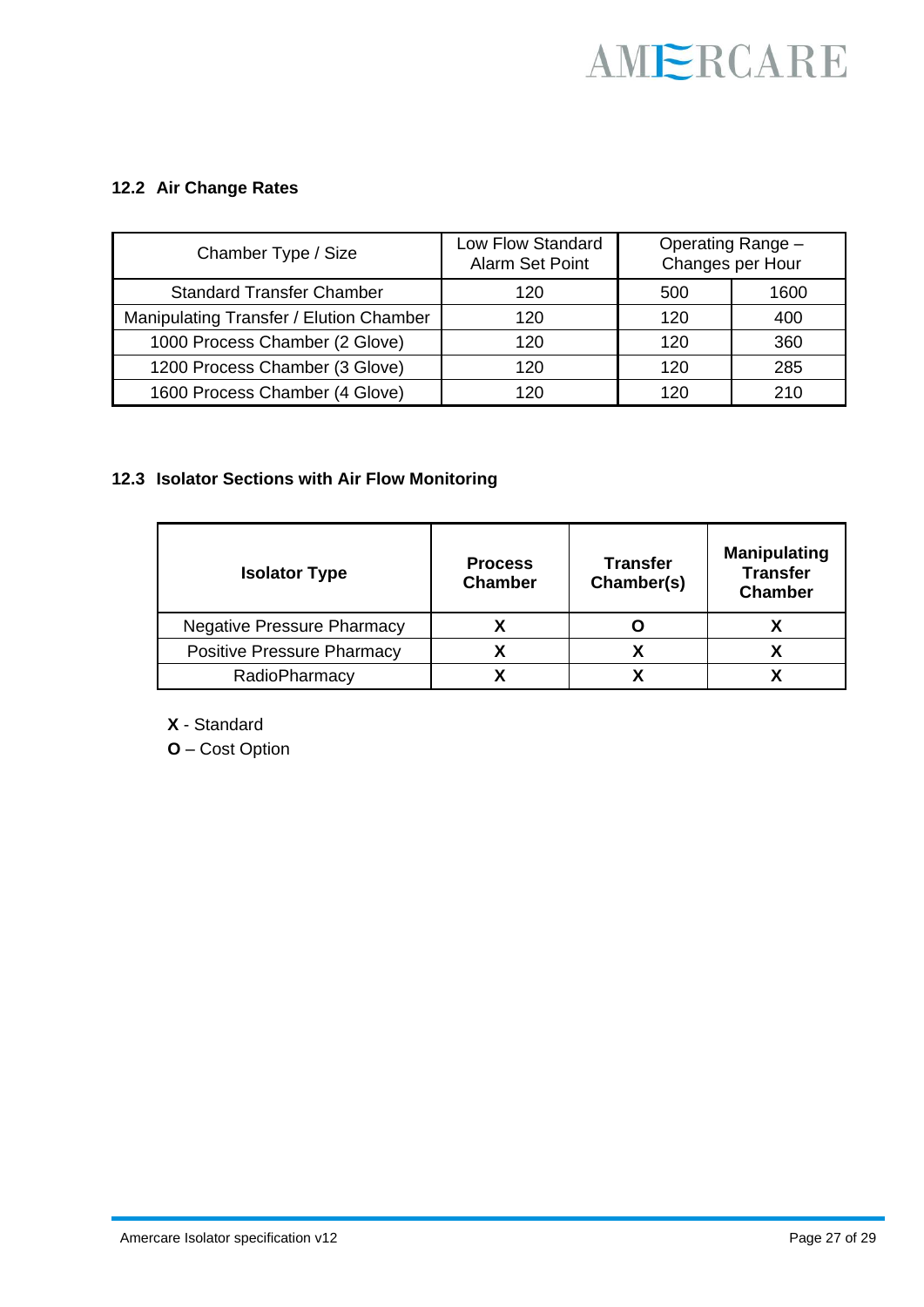#### **12.2 Air Change Rates**

| Chamber Type / Size                     | Low Flow Standard<br>Alarm Set Point |     | Operating Range -<br>Changes per Hour |
|-----------------------------------------|--------------------------------------|-----|---------------------------------------|
| <b>Standard Transfer Chamber</b>        | 120                                  | 500 | 1600                                  |
| Manipulating Transfer / Elution Chamber | 120                                  | 120 | 400                                   |
| 1000 Process Chamber (2 Glove)          | 120                                  | 120 | 360                                   |
| 1200 Process Chamber (3 Glove)          | 120                                  | 120 | 285                                   |
| 1600 Process Chamber (4 Glove)          | 120                                  | 120 | 210                                   |

#### **12.3 Isolator Sections with Air Flow Monitoring**

| <b>Isolator Type</b>              | <b>Process</b><br><b>Chamber</b> | <b>Transfer</b><br>Chamber(s) | <b>Manipulating</b><br><b>Transfer</b><br><b>Chamber</b> |
|-----------------------------------|----------------------------------|-------------------------------|----------------------------------------------------------|
| <b>Negative Pressure Pharmacy</b> |                                  |                               |                                                          |
| <b>Positive Pressure Pharmacy</b> |                                  | v                             |                                                          |
| RadioPharmacy                     |                                  |                               |                                                          |

**X** - Standard

**O** – Cost Option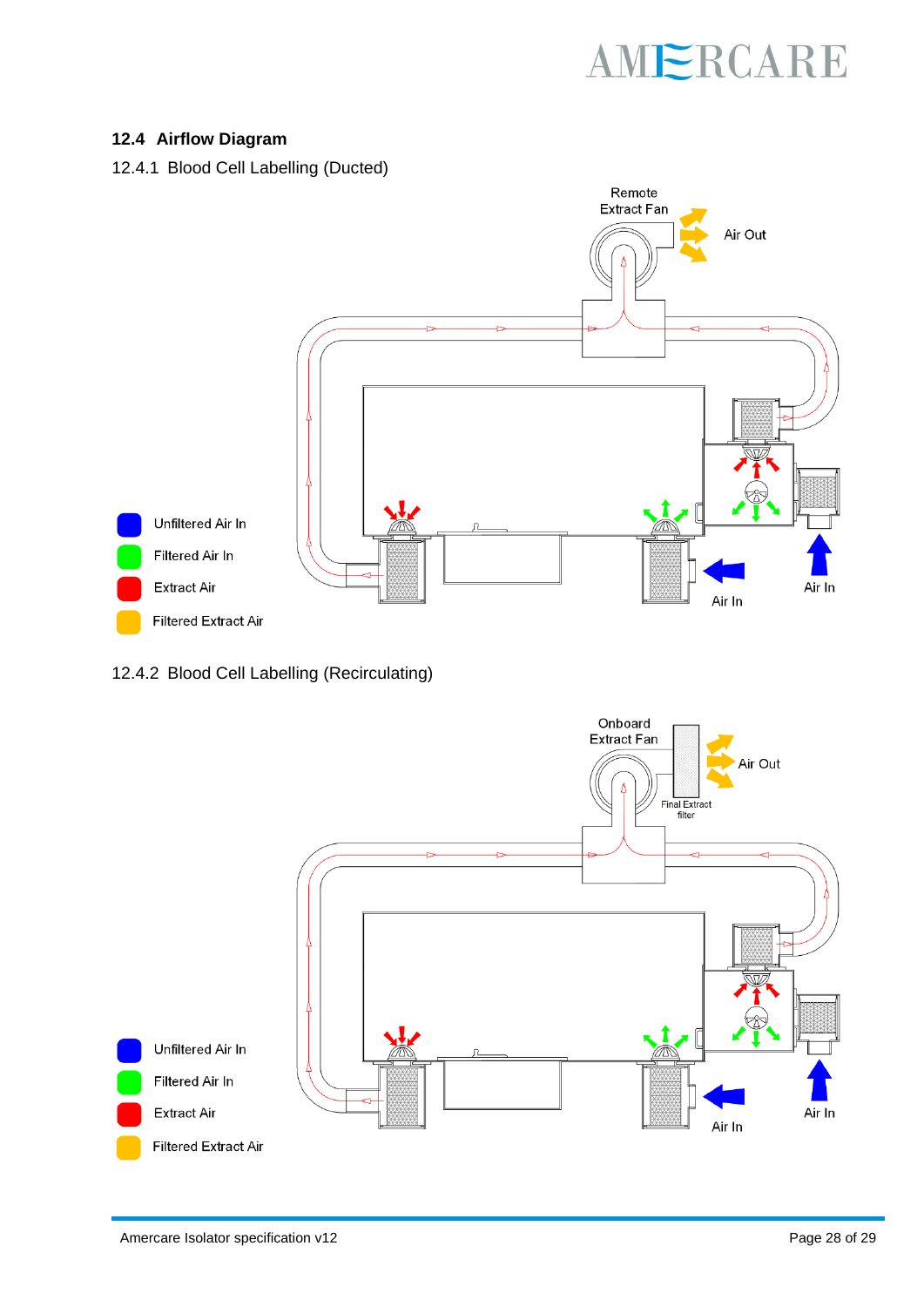#### **12.4 Airflow Diagram**



#### 12.4.2 Blood Cell Labelling (Recirculating)

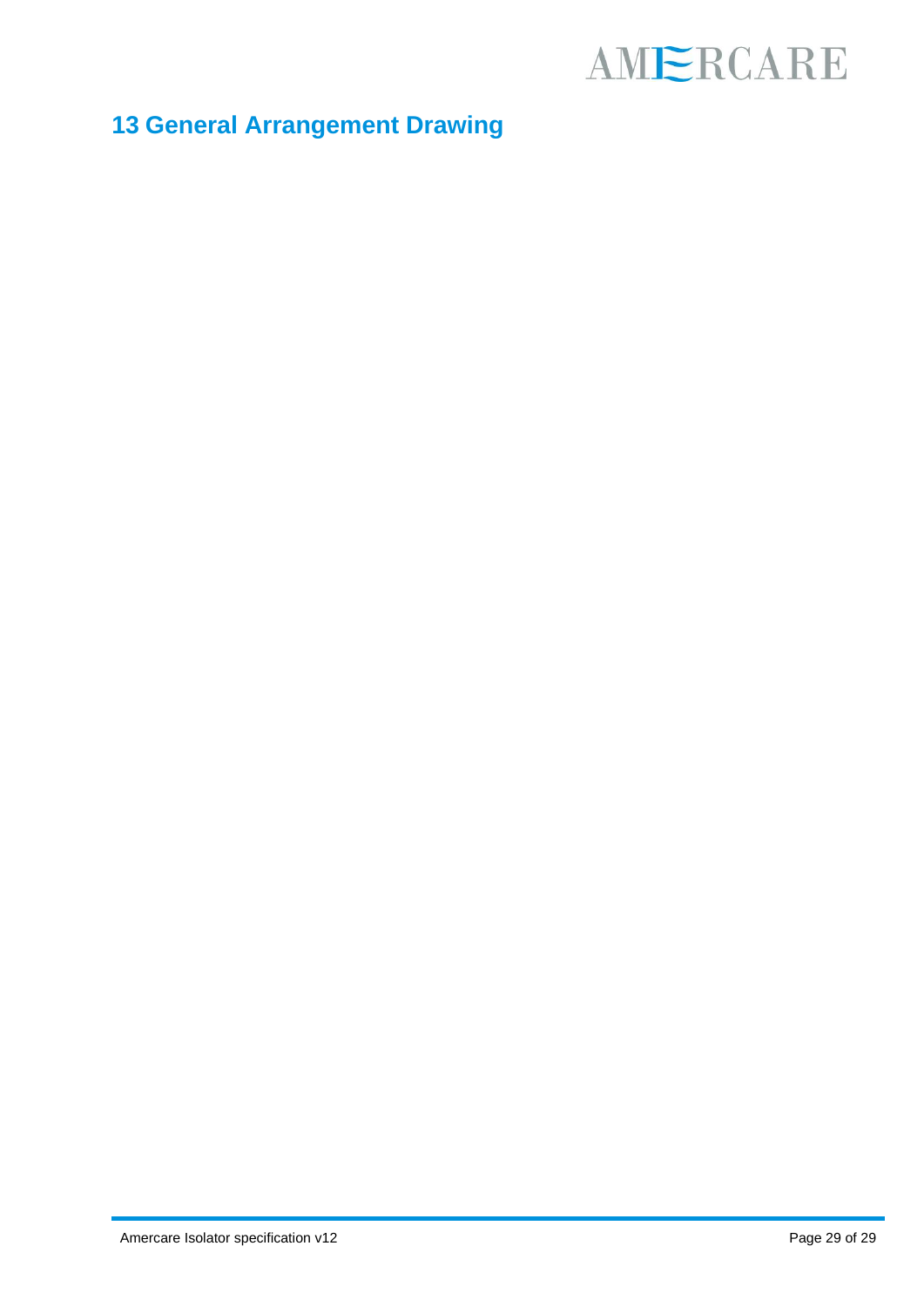### **13 General Arrangement Drawing**